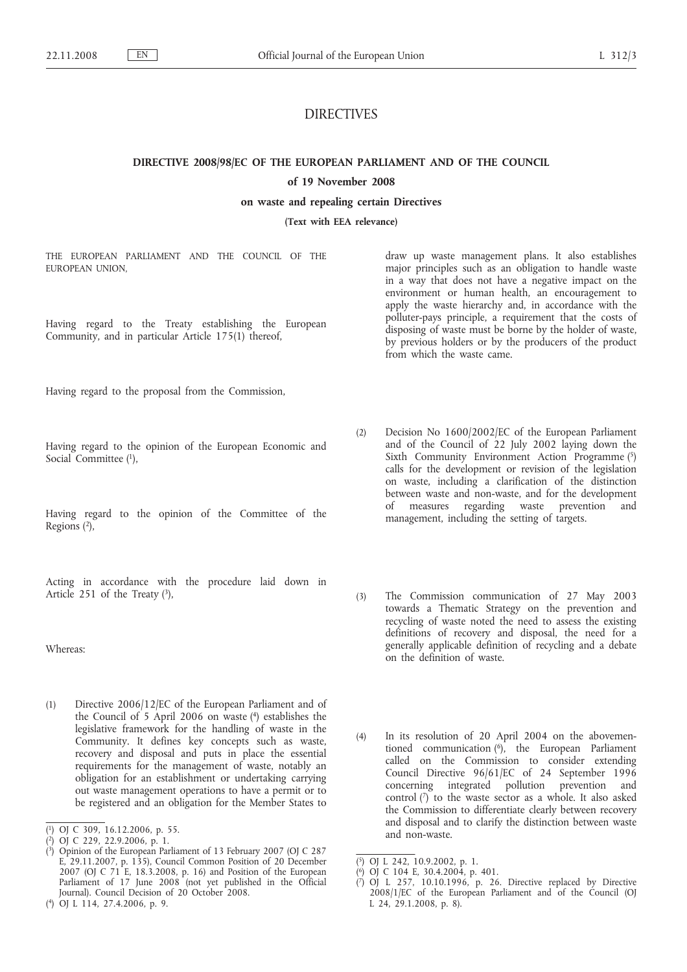# DIRECTIVES

**DIRECTIVE 2008/98/EC OF THE EUROPEAN PARLIAMENT AND OF THE COUNCIL**

## **of 19 November 2008**

**on waste and repealing certain Directives**

**(Text with EEA relevance)**

THE EUROPEAN PARLIAMENT AND THE COUNCIL OF THE EUROPEAN UNION,

Having regard to the Treaty establishing the European Community, and in particular Article 175(1) thereof,

Having regard to the proposal from the Commission,

Having regard to the opinion of the European Economic and Social Committee (1),

Having regard to the opinion of the Committee of the Regions (2),

Acting in accordance with the procedure laid down in Article 251 of the Treaty  $(3)$ ,

Whereas:

(1) Directive 2006/12/EC of the European Parliament and of the Council of 5 April 2006 on waste  $(4)$  establishes the legislative framework for the handling of waste in the Community. It defines key concepts such as waste, recovery and disposal and puts in place the essential requirements for the management of waste, notably an obligation for an establishment or undertaking carrying out waste management operations to have a permit or to be registered and an obligation for the Member States to

draw up waste management plans. It also establishes major principles such as an obligation to handle waste in a way that does not have a negative impact on the environment or human health, an encouragement to apply the waste hierarchy and, in accordance with the polluter-pays principle, a requirement that the costs of disposing of waste must be borne by the holder of waste, by previous holders or by the producers of the product from which the waste came.

- (2) Decision No 1600/2002/EC of the European Parliament and of the Council of 22 July 2002 laying down the Sixth Community Environment Action Programme (5) calls for the development or revision of the legislation on waste, including a clarification of the distinction between waste and non-waste, and for the development of measures regarding waste prevention and management, including the setting of targets.
- (3) The Commission communication of 27 May 2003 towards a Thematic Strategy on the prevention and recycling of waste noted the need to assess the existing definitions of recovery and disposal, the need for a generally applicable definition of recycling and a debate on the definition of waste.
- (4) In its resolution of 20 April 2004 on the abovementioned communication (6), the European Parliament called on the Commission to consider extending Council Directive 96/61/EC of 24 September 1996 concerning integrated pollution prevention and control  $\binom{7}{1}$  to the waste sector as a whole. It also asked the Commission to differentiate clearly between recovery and disposal and to clarify the distinction between waste and non-waste.

<sup>(</sup> 1) OJ C 309, 16.12.2006, p. 55.

<sup>(</sup> 2) OJ C 229, 22.9.2006, p. 1.

<sup>(</sup> 3) Opinion of the European Parliament of 13 February 2007 (OJ C 287 E, 29.11.2007, p. 135), Council Common Position of 20 December 2007 (OJ C 71 E, 18.3.2008, p. 16) and Position of the European Parliament of 17 June 2008 (not yet published in the Official Journal). Council Decision of 20 October 2008.

<sup>(</sup> 4) OJ L 114, 27.4.2006, p. 9.

<sup>(</sup> 5) OJ L 242, 10.9.2002, p. 1.

<sup>(</sup> 6) OJ C 104 E, 30.4.2004, p. 401.

<sup>(</sup> 7) OJ L 257, 10.10.1996, p. 26. Directive replaced by Directive 2008/1/EC of the European Parliament and of the Council (OJ L 24, 29.1.2008, p. 8).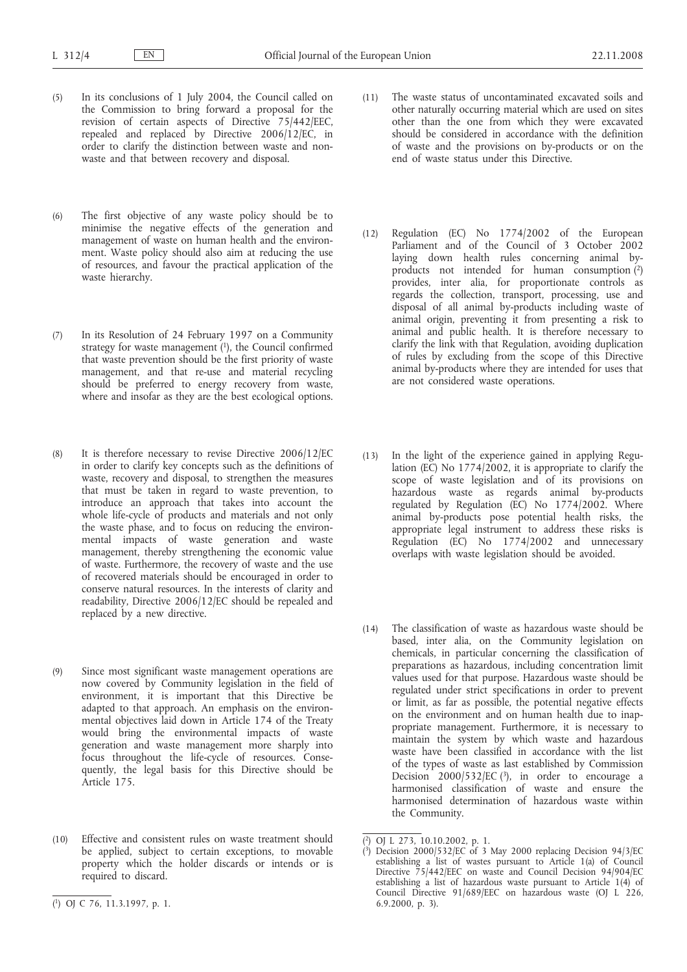- (5) In its conclusions of 1 July 2004, the Council called on the Commission to bring forward a proposal for the revision of certain aspects of Directive 75/442/EEC, repealed and replaced by Directive 2006/12/EC, in order to clarify the distinction between waste and nonwaste and that between recovery and disposal.
- (6) The first objective of any waste policy should be to minimise the negative effects of the generation and management of waste on human health and the environment. Waste policy should also aim at reducing the use of resources, and favour the practical application of the waste hierarchy.
- (7) In its Resolution of 24 February 1997 on a Community strategy for waste management  $(1)$ , the Council confirmed that waste prevention should be the first priority of waste management, and that re-use and material recycling should be preferred to energy recovery from waste, where and insofar as they are the best ecological options.
- (8) It is therefore necessary to revise Directive 2006/12/EC in order to clarify key concepts such as the definitions of waste, recovery and disposal, to strengthen the measures that must be taken in regard to waste prevention, to introduce an approach that takes into account the whole life-cycle of products and materials and not only the waste phase, and to focus on reducing the environmental impacts of waste generation and waste management, thereby strengthening the economic value of waste. Furthermore, the recovery of waste and the use of recovered materials should be encouraged in order to conserve natural resources. In the interests of clarity and readability, Directive 2006/12/EC should be repealed and replaced by a new directive.
- (9) Since most significant waste management operations are now covered by Community legislation in the field of environment, it is important that this Directive be adapted to that approach. An emphasis on the environmental objectives laid down in Article 174 of the Treaty would bring the environmental impacts of waste generation and waste management more sharply into focus throughout the life-cycle of resources. Consequently, the legal basis for this Directive should be Article 175.
- (10) Effective and consistent rules on waste treatment should be applied, subject to certain exceptions, to movable property which the holder discards or intends or is required to discard.
- (12) Regulation (EC) No 1774/2002 of the European Parliament and of the Council of 3 October 2002 laying down health rules concerning animal byproducts not intended for human consumption (2) provides, inter alia, for proportionate controls as regards the collection, transport, processing, use and disposal of all animal by-products including waste of animal origin, preventing it from presenting a risk to animal and public health. It is therefore necessary to clarify the link with that Regulation, avoiding duplication of rules by excluding from the scope of this Directive animal by-products where they are intended for uses that are not considered waste operations.
- (13) In the light of the experience gained in applying Regulation (EC) No 1774/2002, it is appropriate to clarify the scope of waste legislation and of its provisions on hazardous waste as regards animal by-products regulated by Regulation (EC) No 1774/2002. Where animal by-products pose potential health risks, the appropriate legal instrument to address these risks is Regulation (EC) No 1774/2002 and unnecessary overlaps with waste legislation should be avoided.
- (14) The classification of waste as hazardous waste should be based, inter alia, on the Community legislation on chemicals, in particular concerning the classification of preparations as hazardous, including concentration limit values used for that purpose. Hazardous waste should be regulated under strict specifications in order to prevent or limit, as far as possible, the potential negative effects on the environment and on human health due to inappropriate management. Furthermore, it is necessary to maintain the system by which waste and hazardous waste have been classified in accordance with the list of the types of waste as last established by Commission Decision 2000/532/EC  $(3)$ , in order to encourage a harmonised classification of waste and ensure the harmonised determination of hazardous waste within the Community.

<sup>(11)</sup> The waste status of uncontaminated excavated soils and other naturally occurring material which are used on sites other than the one from which they were excavated should be considered in accordance with the definition of waste and the provisions on by-products or on the end of waste status under this Directive.

<sup>(</sup> 2) OJ L 273, 10.10.2002, p. 1.

<sup>(</sup> 3) Decision 2000/532/EC of 3 May 2000 replacing Decision 94/3/EC establishing a list of wastes pursuant to Article 1(a) of Council Directive 75/442/EEC on waste and Council Decision 94/904/EC establishing a list of hazardous waste pursuant to Article 1(4) of Council Directive 91/689/EEC on hazardous waste (OJ L 226, 6.9.2000, p. 3).

<sup>(</sup> 1) OJ C 76, 11.3.1997, p. 1.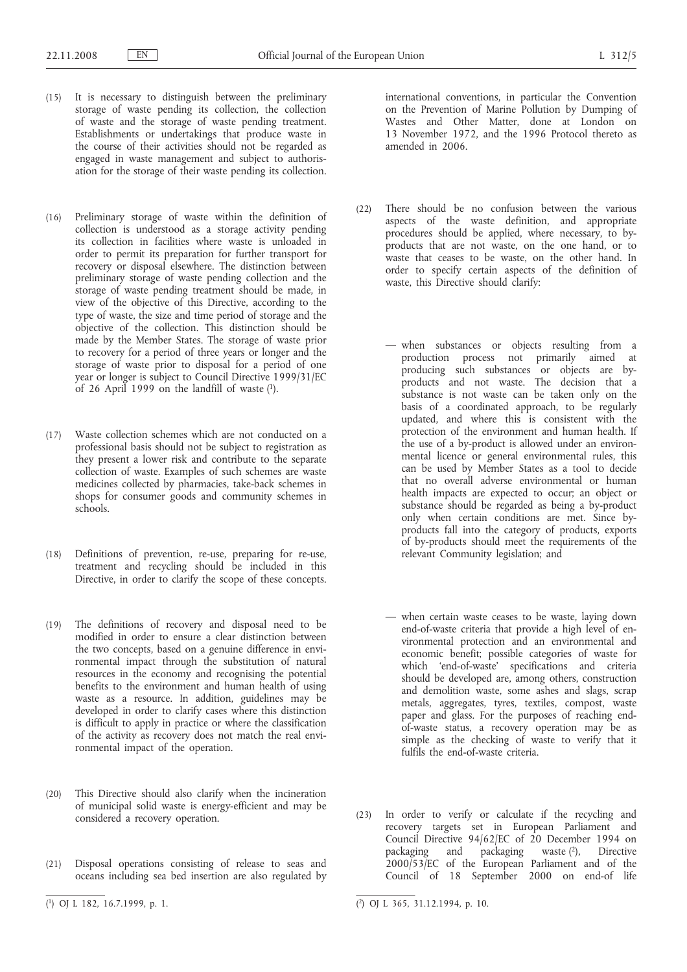- (15) It is necessary to distinguish between the preliminary storage of waste pending its collection, the collection of waste and the storage of waste pending treatment. Establishments or undertakings that produce waste in the course of their activities should not be regarded as engaged in waste management and subject to authorisation for the storage of their waste pending its collection.
- (16) Preliminary storage of waste within the definition of collection is understood as a storage activity pending its collection in facilities where waste is unloaded in order to permit its preparation for further transport for recovery or disposal elsewhere. The distinction between preliminary storage of waste pending collection and the storage of waste pending treatment should be made, in view of the objective of this Directive, according to the type of waste, the size and time period of storage and the objective of the collection. This distinction should be made by the Member States. The storage of waste prior to recovery for a period of three years or longer and the storage of waste prior to disposal for a period of one year or longer is subject to Council Directive 1999/31/EC of 26 April 1999 on the landfill of waste (1).
- (17) Waste collection schemes which are not conducted on a professional basis should not be subject to registration as they present a lower risk and contribute to the separate collection of waste. Examples of such schemes are waste medicines collected by pharmacies, take-back schemes in shops for consumer goods and community schemes in schools.
- (18) Definitions of prevention, re-use, preparing for re-use, treatment and recycling should be included in this Directive, in order to clarify the scope of these concepts.
- (19) The definitions of recovery and disposal need to be modified in order to ensure a clear distinction between the two concepts, based on a genuine difference in environmental impact through the substitution of natural resources in the economy and recognising the potential benefits to the environment and human health of using waste as a resource. In addition, guidelines may be developed in order to clarify cases where this distinction is difficult to apply in practice or where the classification of the activity as recovery does not match the real environmental impact of the operation.
- (20) This Directive should also clarify when the incineration of municipal solid waste is energy-efficient and may be considered a recovery operation.
- (21) Disposal operations consisting of release to seas and oceans including sea bed insertion are also regulated by

international conventions, in particular the Convention on the Prevention of Marine Pollution by Dumping of Wastes and Other Matter, done at London on 13 November 1972, and the 1996 Protocol thereto as amended in 2006.

- (22) There should be no confusion between the various aspects of the waste definition, and appropriate procedures should be applied, where necessary, to byproducts that are not waste, on the one hand, or to waste that ceases to be waste, on the other hand. In order to specify certain aspects of the definition of waste, this Directive should clarify:
	- when substances or objects resulting from a production process not primarily aimed at producing such substances or objects are byproducts and not waste. The decision that a substance is not waste can be taken only on the basis of a coordinated approach, to be regularly updated, and where this is consistent with the protection of the environment and human health. If the use of a by-product is allowed under an environmental licence or general environmental rules, this can be used by Member States as a tool to decide that no overall adverse environmental or human health impacts are expected to occur; an object or substance should be regarded as being a by-product only when certain conditions are met. Since byproducts fall into the category of products, exports of by-products should meet the requirements of the relevant Community legislation; and
	- when certain waste ceases to be waste, laying down end-of-waste criteria that provide a high level of environmental protection and an environmental and economic benefit; possible categories of waste for which 'end-of-waste' specifications and criteria should be developed are, among others, construction and demolition waste, some ashes and slags, scrap metals, aggregates, tyres, textiles, compost, waste paper and glass. For the purposes of reaching endof-waste status, a recovery operation may be as simple as the checking of waste to verify that it fulfils the end-of-waste criteria.
- (23) In order to verify or calculate if the recycling and recovery targets set in European Parliament and Council Directive 94/62/EC of 20 December 1994 on packaging and packaging waste (2), Directive 2000/53/EC of the European Parliament and of the Council of 18 September 2000 on end-of life

<sup>(</sup> 1) OJ L 182, 16.7.1999, p. 1. (

<sup>2)</sup> OJ L 365, 31.12.1994, p. 10.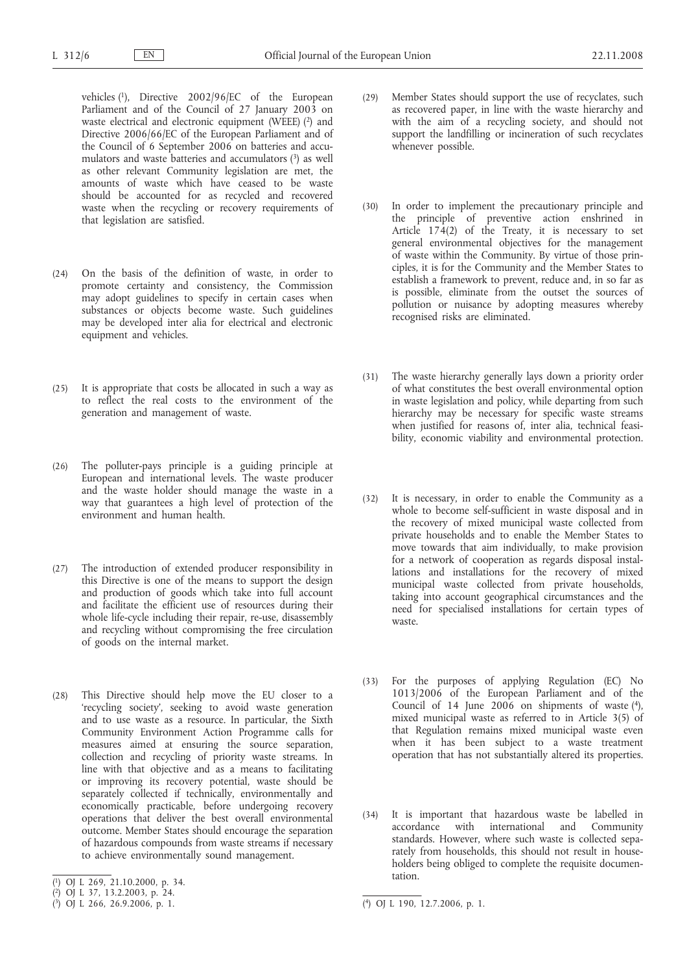- vehicles (1), Directive 2002/96/EC of the European Parliament and of the Council of 27 January 2003 on waste electrical and electronic equipment (WEEE) (2) and Directive 2006/66/EC of the European Parliament and of the Council of 6 September 2006 on batteries and accumulators and waste batteries and accumulators (3) as well as other relevant Community legislation are met, the amounts of waste which have ceased to be waste should be accounted for as recycled and recovered waste when the recycling or recovery requirements of that legislation are satisfied.
- (24) On the basis of the definition of waste, in order to promote certainty and consistency, the Commission may adopt guidelines to specify in certain cases when substances or objects become waste. Such guidelines may be developed inter alia for electrical and electronic equipment and vehicles.
- (25) It is appropriate that costs be allocated in such a way as to reflect the real costs to the environment of the generation and management of waste.
- (26) The polluter-pays principle is a guiding principle at European and international levels. The waste producer and the waste holder should manage the waste in a way that guarantees a high level of protection of the environment and human health.
- (27) The introduction of extended producer responsibility in this Directive is one of the means to support the design and production of goods which take into full account and facilitate the efficient use of resources during their whole life-cycle including their repair, re-use, disassembly and recycling without compromising the free circulation of goods on the internal market.
- (28) This Directive should help move the EU closer to a 'recycling society', seeking to avoid waste generation and to use waste as a resource. In particular, the Sixth Community Environment Action Programme calls for measures aimed at ensuring the source separation, collection and recycling of priority waste streams. In line with that objective and as a means to facilitating or improving its recovery potential, waste should be separately collected if technically, environmentally and economically practicable, before undergoing recovery operations that deliver the best overall environmental outcome. Member States should encourage the separation of hazardous compounds from waste streams if necessary to achieve environmentally sound management.
- (29) Member States should support the use of recyclates, such as recovered paper, in line with the waste hierarchy and with the aim of a recycling society, and should not support the landfilling or incineration of such recyclates whenever possible.
- (30) In order to implement the precautionary principle and the principle of preventive action enshrined in Article 174(2) of the Treaty, it is necessary to set general environmental objectives for the management of waste within the Community. By virtue of those principles, it is for the Community and the Member States to establish a framework to prevent, reduce and, in so far as is possible, eliminate from the outset the sources of pollution or nuisance by adopting measures whereby recognised risks are eliminated.
- (31) The waste hierarchy generally lays down a priority order of what constitutes the best overall environmental option in waste legislation and policy, while departing from such hierarchy may be necessary for specific waste streams when justified for reasons of, inter alia, technical feasibility, economic viability and environmental protection.
- (32) It is necessary, in order to enable the Community as a whole to become self-sufficient in waste disposal and in the recovery of mixed municipal waste collected from private households and to enable the Member States to move towards that aim individually, to make provision for a network of cooperation as regards disposal installations and installations for the recovery of mixed municipal waste collected from private households, taking into account geographical circumstances and the need for specialised installations for certain types of waste.
- (33) For the purposes of applying Regulation (EC) No 1013/2006 of the European Parliament and of the Council of 14 June 2006 on shipments of waste  $(4)$ , mixed municipal waste as referred to in Article 3(5) of that Regulation remains mixed municipal waste even when it has been subject to a waste treatment operation that has not substantially altered its properties.
- (34) It is important that hazardous waste be labelled in accordance with international and Community standards. However, where such waste is collected separately from households, this should not result in householders being obliged to complete the requisite documentation.

<sup>(</sup> 1) OJ L 269, 21.10.2000, p. 34.

<sup>(</sup> 2) OJ L 37, 13.2.2003, p. 24.

<sup>(</sup> 3) OJ L 266, 26.9.2006, p. 1. (

<sup>4)</sup> OJ L 190, 12.7.2006, p. 1.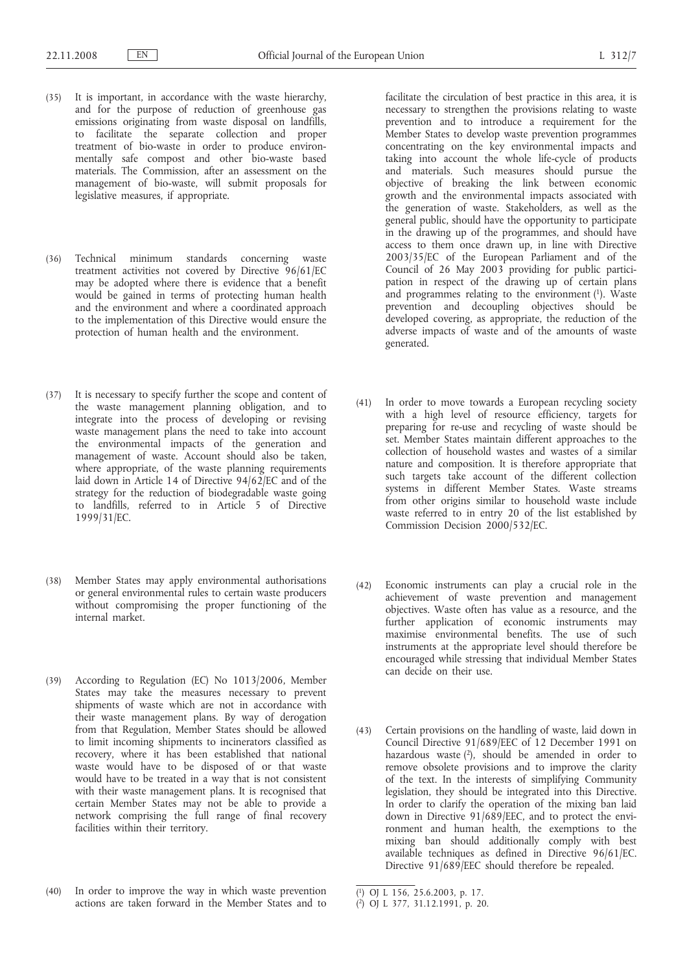- (35) It is important, in accordance with the waste hierarchy, and for the purpose of reduction of greenhouse gas emissions originating from waste disposal on landfills, to facilitate the separate collection and proper treatment of bio-waste in order to produce environmentally safe compost and other bio-waste based materials. The Commission, after an assessment on the management of bio-waste, will submit proposals for legislative measures, if appropriate.
- (36) Technical minimum standards concerning waste treatment activities not covered by Directive 96/61/EC may be adopted where there is evidence that a benefit would be gained in terms of protecting human health and the environment and where a coordinated approach to the implementation of this Directive would ensure the protection of human health and the environment.
- (37) It is necessary to specify further the scope and content of the waste management planning obligation, and to integrate into the process of developing or revising waste management plans the need to take into account the environmental impacts of the generation and management of waste. Account should also be taken, where appropriate, of the waste planning requirements laid down in Article 14 of Directive 94/62/EC and of the strategy for the reduction of biodegradable waste going to landfills, referred to in Article 5 of Directive 1999/31/EC.
- (38) Member States may apply environmental authorisations or general environmental rules to certain waste producers without compromising the proper functioning of the internal market.
- (39) According to Regulation (EC) No 1013/2006, Member States may take the measures necessary to prevent shipments of waste which are not in accordance with their waste management plans. By way of derogation from that Regulation, Member States should be allowed to limit incoming shipments to incinerators classified as recovery, where it has been established that national waste would have to be disposed of or that waste would have to be treated in a way that is not consistent with their waste management plans. It is recognised that certain Member States may not be able to provide a network comprising the full range of final recovery facilities within their territory.
- (40) In order to improve the way in which waste prevention actions are taken forward in the Member States and to

facilitate the circulation of best practice in this area, it is necessary to strengthen the provisions relating to waste prevention and to introduce a requirement for the Member States to develop waste prevention programmes concentrating on the key environmental impacts and taking into account the whole life-cycle of products and materials. Such measures should pursue the objective of breaking the link between economic growth and the environmental impacts associated with the generation of waste. Stakeholders, as well as the general public, should have the opportunity to participate in the drawing up of the programmes, and should have access to them once drawn up, in line with Directive 2003/35/EC of the European Parliament and of the Council of 26 May 2003 providing for public participation in respect of the drawing up of certain plans and programmes relating to the environment  $(1)$ . Waste prevention and decoupling objectives should be developed covering, as appropriate, the reduction of the adverse impacts of waste and of the amounts of waste generated.

- (41) In order to move towards a European recycling society with a high level of resource efficiency, targets for preparing for re-use and recycling of waste should be set. Member States maintain different approaches to the collection of household wastes and wastes of a similar nature and composition. It is therefore appropriate that such targets take account of the different collection systems in different Member States. Waste streams from other origins similar to household waste include waste referred to in entry 20 of the list established by Commission Decision 2000/532/EC.
- (42) Economic instruments can play a crucial role in the achievement of waste prevention and management objectives. Waste often has value as a resource, and the further application of economic instruments may maximise environmental benefits. The use of such instruments at the appropriate level should therefore be encouraged while stressing that individual Member States can decide on their use.
- (43) Certain provisions on the handling of waste, laid down in Council Directive 91/689/EEC of 12 December 1991 on hazardous waste  $(2)$ , should be amended in order to remove obsolete provisions and to improve the clarity of the text. In the interests of simplifying Community legislation, they should be integrated into this Directive. In order to clarify the operation of the mixing ban laid down in Directive 91/689/EEC, and to protect the environment and human health, the exemptions to the mixing ban should additionally comply with best available techniques as defined in Directive 96/61/EC. Directive 91/689/EEC should therefore be repealed.

<sup>(</sup> 1) OJ L 156, 25.6.2003, p. 17.

<sup>(</sup> 2) OJ L 377, 31.12.1991, p. 20.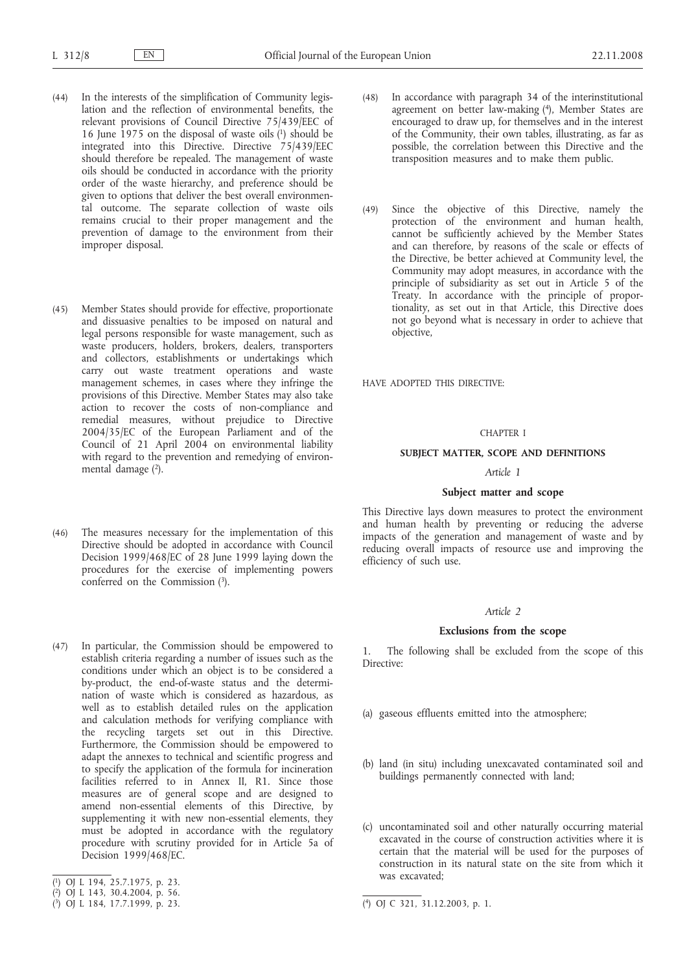- (44) In the interests of the simplification of Community legislation and the reflection of environmental benefits, the relevant provisions of Council Directive 75/439/EEC of 16 June 1975 on the disposal of waste oils  $(1)$  should be integrated into this Directive. Directive 75/439/EEC should therefore be repealed. The management of waste oils should be conducted in accordance with the priority order of the waste hierarchy, and preference should be given to options that deliver the best overall environmental outcome. The separate collection of waste oils remains crucial to their proper management and the prevention of damage to the environment from their improper disposal.
- (45) Member States should provide for effective, proportionate and dissuasive penalties to be imposed on natural and legal persons responsible for waste management, such as waste producers, holders, brokers, dealers, transporters and collectors, establishments or undertakings which carry out waste treatment operations and waste management schemes, in cases where they infringe the provisions of this Directive. Member States may also take action to recover the costs of non-compliance and remedial measures, without prejudice to Directive 2004/35/EC of the European Parliament and of the Council of 21 April 2004 on environmental liability with regard to the prevention and remedying of environmental damage  $(2)$ .
- (46) The measures necessary for the implementation of this Directive should be adopted in accordance with Council Decision 1999/468/EC of 28 June 1999 laying down the procedures for the exercise of implementing powers conferred on the Commission (3).
- (47) In particular, the Commission should be empowered to establish criteria regarding a number of issues such as the conditions under which an object is to be considered a by-product, the end-of-waste status and the determination of waste which is considered as hazardous, as well as to establish detailed rules on the application and calculation methods for verifying compliance with the recycling targets set out in this Directive. Furthermore, the Commission should be empowered to adapt the annexes to technical and scientific progress and to specify the application of the formula for incineration facilities referred to in Annex II, R1. Since those measures are of general scope and are designed to amend non-essential elements of this Directive, by supplementing it with new non-essential elements, they must be adopted in accordance with the regulatory procedure with scrutiny provided for in Article 5a of Decision 1999/468/EC.
- ( 1) OJ L 194, 25.7.1975, p. 23.
- ( 2) OJ L 143, 30.4.2004, p. 56.
- ( 3) OJ L 184, 17.7.1999, p. 23. (
- (48) In accordance with paragraph 34 of the interinstitutional agreement on better law-making (4), Member States are encouraged to draw up, for themselves and in the interest of the Community, their own tables, illustrating, as far as possible, the correlation between this Directive and the transposition measures and to make them public.
- (49) Since the objective of this Directive, namely the protection of the environment and human health, cannot be sufficiently achieved by the Member States and can therefore, by reasons of the scale or effects of the Directive, be better achieved at Community level, the Community may adopt measures, in accordance with the principle of subsidiarity as set out in Article 5 of the Treaty. In accordance with the principle of proportionality, as set out in that Article, this Directive does not go beyond what is necessary in order to achieve that objective,

HAVE ADOPTED THIS DIRECTIVE:

### CHAPTER I

## **SUBJECT MATTER, SCOPE AND DEFINITIONS**

## *Article 1*

### **Subject matter and scope**

This Directive lays down measures to protect the environment and human health by preventing or reducing the adverse impacts of the generation and management of waste and by reducing overall impacts of resource use and improving the efficiency of such use.

#### *Article 2*

### **Exclusions from the scope**

1. The following shall be excluded from the scope of this Directive:

- (a) gaseous effluents emitted into the atmosphere;
- (b) land (in situ) including unexcavated contaminated soil and buildings permanently connected with land;
- (c) uncontaminated soil and other naturally occurring material excavated in the course of construction activities where it is certain that the material will be used for the purposes of construction in its natural state on the site from which it was excavated;

<sup>4)</sup> OJ C 321, 31.12.2003, p. 1.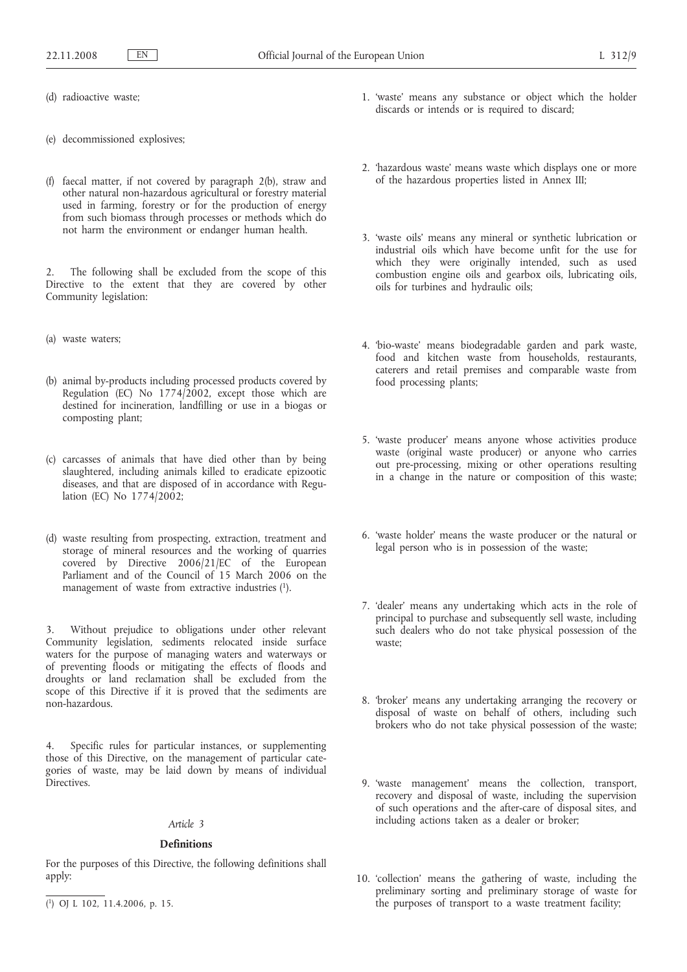- (d) radioactive waste;
- (e) decommissioned explosives;
- (f) faecal matter, if not covered by paragraph 2(b), straw and other natural non-hazardous agricultural or forestry material used in farming, forestry or for the production of energy from such biomass through processes or methods which do not harm the environment or endanger human health.

2. The following shall be excluded from the scope of this Directive to the extent that they are covered by other Community legislation:

- (a) waste waters;
- (b) animal by-products including processed products covered by Regulation (EC) No  $1774/2002$ , except those which are destined for incineration, landfilling or use in a biogas or composting plant;
- (c) carcasses of animals that have died other than by being slaughtered, including animals killed to eradicate epizootic diseases, and that are disposed of in accordance with Regulation (EC) No 1774/2002;
- (d) waste resulting from prospecting, extraction, treatment and storage of mineral resources and the working of quarries covered by Directive 2006/21/EC of the European Parliament and of the Council of 15 March 2006 on the management of waste from extractive industries (1).

3. Without prejudice to obligations under other relevant Community legislation, sediments relocated inside surface waters for the purpose of managing waters and waterways or of preventing floods or mitigating the effects of floods and droughts or land reclamation shall be excluded from the scope of this Directive if it is proved that the sediments are non-hazardous.

4. Specific rules for particular instances, or supplementing those of this Directive, on the management of particular categories of waste, may be laid down by means of individual Directives.

#### *Article 3*

## **Definitions**

For the purposes of this Directive, the following definitions shall apply:

- 1. 'waste' means any substance or object which the holder discards or intends or is required to discard;
- 2. 'hazardous waste' means waste which displays one or more of the hazardous properties listed in Annex III;
- 3. 'waste oils' means any mineral or synthetic lubrication or industrial oils which have become unfit for the use for which they were originally intended, such as used combustion engine oils and gearbox oils, lubricating oils, oils for turbines and hydraulic oils;
- 4. 'bio-waste' means biodegradable garden and park waste, food and kitchen waste from households, restaurants, caterers and retail premises and comparable waste from food processing plants;
- 5. 'waste producer' means anyone whose activities produce waste (original waste producer) or anyone who carries out pre-processing, mixing or other operations resulting in a change in the nature or composition of this waste;
- 6. 'waste holder' means the waste producer or the natural or legal person who is in possession of the waste;
- 7. 'dealer' means any undertaking which acts in the role of principal to purchase and subsequently sell waste, including such dealers who do not take physical possession of the waste;
- 8. 'broker' means any undertaking arranging the recovery or disposal of waste on behalf of others, including such brokers who do not take physical possession of the waste;
- 9. 'waste management' means the collection, transport, recovery and disposal of waste, including the supervision of such operations and the after-care of disposal sites, and including actions taken as a dealer or broker;
- 10. 'collection' means the gathering of waste, including the preliminary sorting and preliminary storage of waste for the purposes of transport to a waste treatment facility;

<sup>(</sup> 1) OJ L 102, 11.4.2006, p. 15.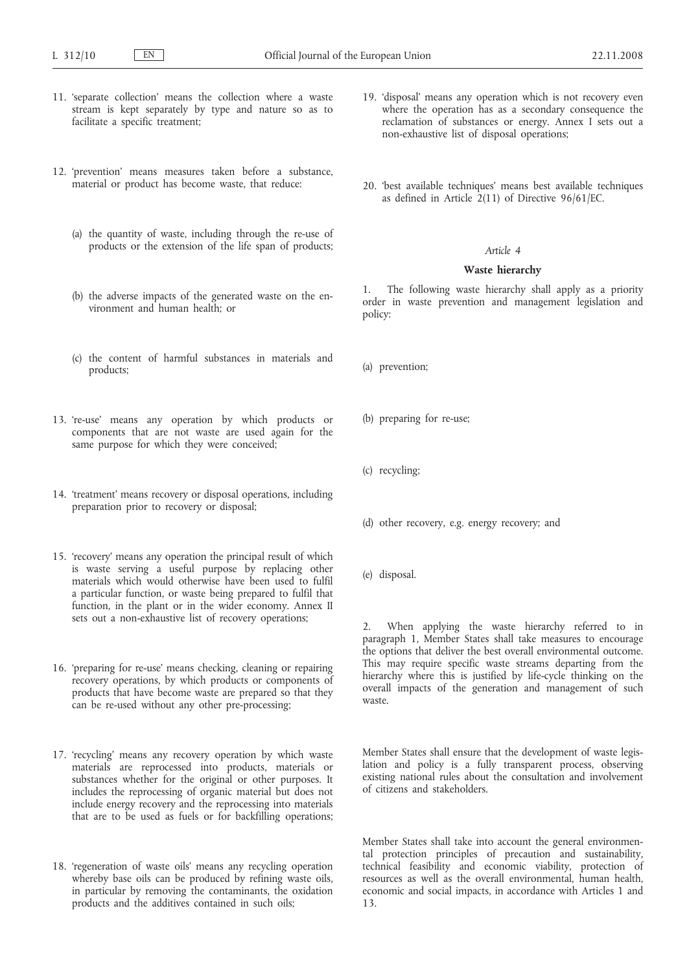- 11. 'separate collection' means the collection where a waste stream is kept separately by type and nature so as to facilitate a specific treatment;
- 12. 'prevention' means measures taken before a substance, material or product has become waste, that reduce:
	- (a) the quantity of waste, including through the re-use of products or the extension of the life span of products;
	- (b) the adverse impacts of the generated waste on the environment and human health; or
	- (c) the content of harmful substances in materials and products;
- 13. 're-use' means any operation by which products or components that are not waste are used again for the same purpose for which they were conceived;
- 14. 'treatment' means recovery or disposal operations, including preparation prior to recovery or disposal;
- 15. 'recovery' means any operation the principal result of which is waste serving a useful purpose by replacing other materials which would otherwise have been used to fulfil a particular function, or waste being prepared to fulfil that function, in the plant or in the wider economy. Annex II sets out a non-exhaustive list of recovery operations;
- 16. 'preparing for re-use' means checking, cleaning or repairing recovery operations, by which products or components of products that have become waste are prepared so that they can be re-used without any other pre-processing;
- 17. 'recycling' means any recovery operation by which waste materials are reprocessed into products, materials or substances whether for the original or other purposes. It includes the reprocessing of organic material but does not include energy recovery and the reprocessing into materials that are to be used as fuels or for backfilling operations;
- 18. 'regeneration of waste oils' means any recycling operation whereby base oils can be produced by refining waste oils, in particular by removing the contaminants, the oxidation products and the additives contained in such oils;
- 19. 'disposal' means any operation which is not recovery even where the operation has as a secondary consequence the reclamation of substances or energy. Annex I sets out a non-exhaustive list of disposal operations;
- 20. 'best available techniques' means best available techniques as defined in Article 2(11) of Directive 96/61/EC.

### **Waste hierarchy**

1. The following waste hierarchy shall apply as a priority order in waste prevention and management legislation and policy:

- (a) prevention;
- (b) preparing for re-use;
- (c) recycling;
- (d) other recovery, e.g. energy recovery; and
- (e) disposal.

When applying the waste hierarchy referred to in paragraph 1, Member States shall take measures to encourage the options that deliver the best overall environmental outcome. This may require specific waste streams departing from the hierarchy where this is justified by life-cycle thinking on the overall impacts of the generation and management of such waste.

Member States shall ensure that the development of waste legislation and policy is a fully transparent process, observing existing national rules about the consultation and involvement of citizens and stakeholders.

Member States shall take into account the general environmental protection principles of precaution and sustainability, technical feasibility and economic viability, protection of resources as well as the overall environmental, human health, economic and social impacts, in accordance with Articles 1 and 13.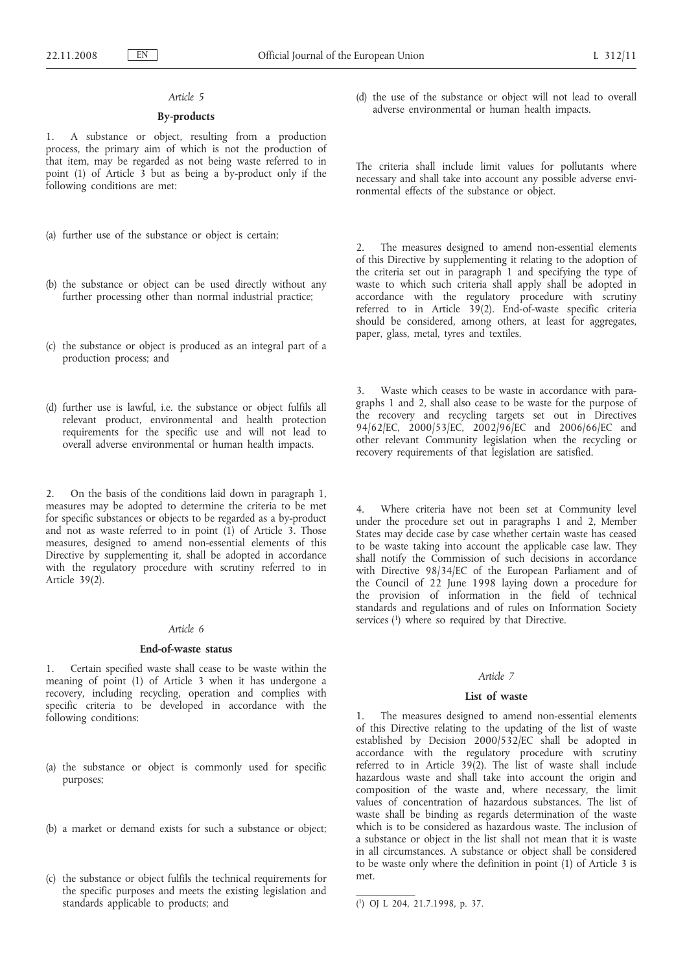## **By-products**

1. A substance or object, resulting from a production process, the primary aim of which is not the production of that item, may be regarded as not being waste referred to in point (1) of Article 3 but as being a by-product only if the following conditions are met:

- (a) further use of the substance or object is certain;
- (b) the substance or object can be used directly without any further processing other than normal industrial practice;
- (c) the substance or object is produced as an integral part of a production process; and
- (d) further use is lawful, i.e. the substance or object fulfils all relevant product, environmental and health protection requirements for the specific use and will not lead to overall adverse environmental or human health impacts.

2. On the basis of the conditions laid down in paragraph 1, measures may be adopted to determine the criteria to be met for specific substances or objects to be regarded as a by-product and not as waste referred to in point  $(1)$  of Article 3. Those measures, designed to amend non-essential elements of this Directive by supplementing it, shall be adopted in accordance with the regulatory procedure with scrutiny referred to in Article 39(2).

## *Article 6*

## **End-of-waste status**

1. Certain specified waste shall cease to be waste within the meaning of point (1) of Article 3 when it has undergone a recovery, including recycling, operation and complies with specific criteria to be developed in accordance with the following conditions:

- (a) the substance or object is commonly used for specific purposes;
- (b) a market or demand exists for such a substance or object;
- (c) the substance or object fulfils the technical requirements for the specific purposes and meets the existing legislation and standards applicable to products; and

(d) the use of the substance or object will not lead to overall adverse environmental or human health impacts.

The criteria shall include limit values for pollutants where necessary and shall take into account any possible adverse environmental effects of the substance or object.

2. The measures designed to amend non-essential elements of this Directive by supplementing it relating to the adoption of the criteria set out in paragraph 1 and specifying the type of waste to which such criteria shall apply shall be adopted in accordance with the regulatory procedure with scrutiny referred to in Article 39(2). End-of-waste specific criteria should be considered, among others, at least for aggregates, paper, glass, metal, tyres and textiles.

3. Waste which ceases to be waste in accordance with paragraphs 1 and 2, shall also cease to be waste for the purpose of the recovery and recycling targets set out in Directives 94/62/EC, 2000/53/EC, 2002/96/EC and 2006/66/EC and other relevant Community legislation when the recycling or recovery requirements of that legislation are satisfied.

Where criteria have not been set at Community level under the procedure set out in paragraphs 1 and 2, Member States may decide case by case whether certain waste has ceased to be waste taking into account the applicable case law. They shall notify the Commission of such decisions in accordance with Directive 98/34/EC of the European Parliament and of the Council of 22 June 1998 laying down a procedure for the provision of information in the field of technical standards and regulations and of rules on Information Society services (1) where so required by that Directive.

## *Article 7*

#### **List of waste**

1. The measures designed to amend non-essential elements of this Directive relating to the updating of the list of waste established by Decision 2000/532/EC shall be adopted in accordance with the regulatory procedure with scrutiny referred to in Article 39(2). The list of waste shall include hazardous waste and shall take into account the origin and composition of the waste and, where necessary, the limit values of concentration of hazardous substances. The list of waste shall be binding as regards determination of the waste which is to be considered as hazardous waste. The inclusion of a substance or object in the list shall not mean that it is waste in all circumstances. A substance or object shall be considered to be waste only where the definition in point (1) of Article 3 is met.

<sup>(</sup> 1) OJ L 204, 21.7.1998, p. 37.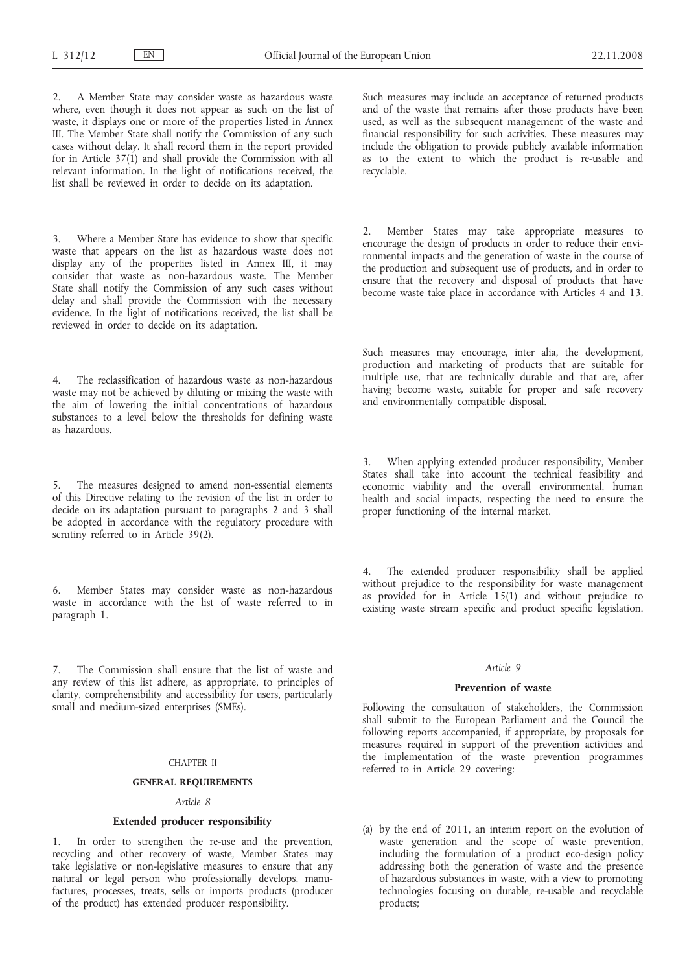2. A Member State may consider waste as hazardous waste where, even though it does not appear as such on the list of waste, it displays one or more of the properties listed in Annex III. The Member State shall notify the Commission of any such cases without delay. It shall record them in the report provided for in Article  $37(1)$  and shall provide the Commission with all relevant information. In the light of notifications received, the list shall be reviewed in order to decide on its adaptation.

Where a Member State has evidence to show that specific waste that appears on the list as hazardous waste does not display any of the properties listed in Annex III, it may consider that waste as non-hazardous waste. The Member State shall notify the Commission of any such cases without delay and shall provide the Commission with the necessary evidence. In the light of notifications received, the list shall be reviewed in order to decide on its adaptation.

The reclassification of hazardous waste as non-hazardous waste may not be achieved by diluting or mixing the waste with the aim of lowering the initial concentrations of hazardous substances to a level below the thresholds for defining waste as hazardous.

The measures designed to amend non-essential elements of this Directive relating to the revision of the list in order to decide on its adaptation pursuant to paragraphs 2 and 3 shall be adopted in accordance with the regulatory procedure with scrutiny referred to in Article 39(2).

6. Member States may consider waste as non-hazardous waste in accordance with the list of waste referred to in paragraph 1.

7. The Commission shall ensure that the list of waste and any review of this list adhere, as appropriate, to principles of clarity, comprehensibility and accessibility for users, particularly small and medium-sized enterprises (SMEs).

### CHAPTER II

### **GENERAL REQUIREMENTS**

## *Article 8*

## **Extended producer responsibility**

In order to strengthen the re-use and the prevention, recycling and other recovery of waste, Member States may take legislative or non-legislative measures to ensure that any natural or legal person who professionally develops, manufactures, processes, treats, sells or imports products (producer of the product) has extended producer responsibility.

Such measures may include an acceptance of returned products and of the waste that remains after those products have been used, as well as the subsequent management of the waste and financial responsibility for such activities. These measures may include the obligation to provide publicly available information as to the extent to which the product is re-usable and recyclable.

2. Member States may take appropriate measures to encourage the design of products in order to reduce their environmental impacts and the generation of waste in the course of the production and subsequent use of products, and in order to ensure that the recovery and disposal of products that have become waste take place in accordance with Articles 4 and 13.

Such measures may encourage, inter alia, the development, production and marketing of products that are suitable for multiple use, that are technically durable and that are, after having become waste, suitable for proper and safe recovery and environmentally compatible disposal.

3. When applying extended producer responsibility, Member States shall take into account the technical feasibility and economic viability and the overall environmental, human health and social impacts, respecting the need to ensure the proper functioning of the internal market.

4. The extended producer responsibility shall be applied without prejudice to the responsibility for waste management as provided for in Article 15(1) and without prejudice to existing waste stream specific and product specific legislation.

#### *Article 9*

### **Prevention of waste**

Following the consultation of stakeholders, the Commission shall submit to the European Parliament and the Council the following reports accompanied, if appropriate, by proposals for measures required in support of the prevention activities and the implementation of the waste prevention programmes referred to in Article 29 covering:

(a) by the end of 2011, an interim report on the evolution of waste generation and the scope of waste prevention, including the formulation of a product eco-design policy addressing both the generation of waste and the presence of hazardous substances in waste, with a view to promoting technologies focusing on durable, re-usable and recyclable products;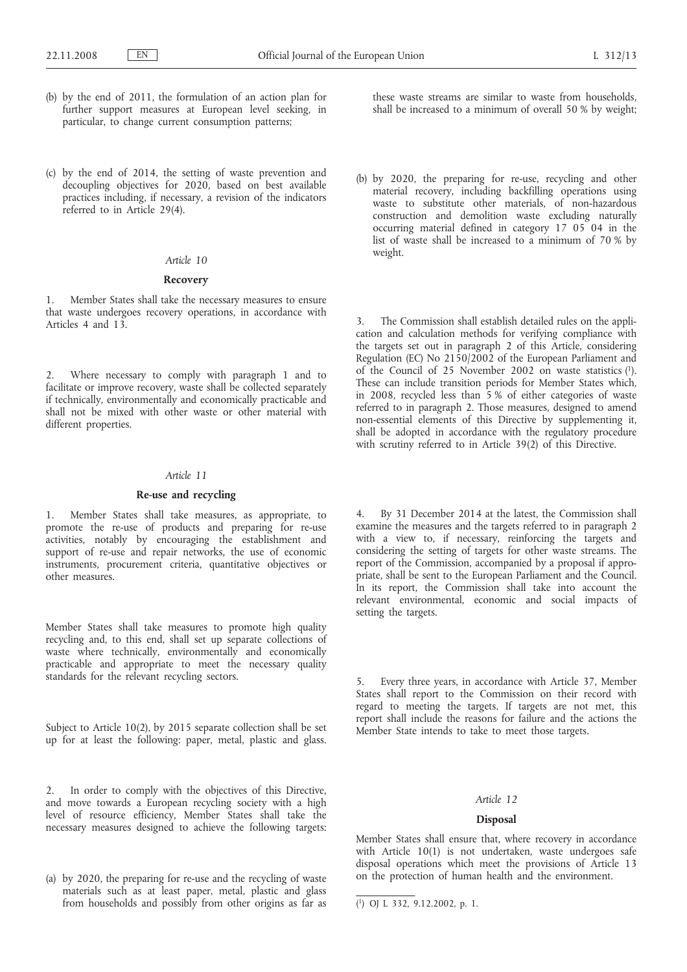- (b) by the end of 2011, the formulation of an action plan for further support measures at European level seeking, in particular, to change current consumption patterns;
- (c) by the end of 2014, the setting of waste prevention and decoupling objectives for 2020, based on best available practices including, if necessary, a revision of the indicators referred to in Article 29(4).

### **Recovery**

1. Member States shall take the necessary measures to ensure that waste undergoes recovery operations, in accordance with Articles 4 and 13.

2. Where necessary to comply with paragraph 1 and to facilitate or improve recovery, waste shall be collected separately if technically, environmentally and economically practicable and shall not be mixed with other waste or other material with different properties.

### *Article 11*

### **Re-use and recycling**

1. Member States shall take measures, as appropriate, to promote the re-use of products and preparing for re-use activities, notably by encouraging the establishment and support of re-use and repair networks, the use of economic instruments, procurement criteria, quantitative objectives or other measures.

Member States shall take measures to promote high quality recycling and, to this end, shall set up separate collections of waste where technically, environmentally and economically practicable and appropriate to meet the necessary quality standards for the relevant recycling sectors.

Subject to Article 10(2), by 2015 separate collection shall be set up for at least the following: paper, metal, plastic and glass.

2. In order to comply with the objectives of this Directive, and move towards a European recycling society with a high level of resource efficiency, Member States shall take the necessary measures designed to achieve the following targets:

(a) by 2020, the preparing for re-use and the recycling of waste materials such as at least paper, metal, plastic and glass from households and possibly from other origins as far as these waste streams are similar to waste from households, shall be increased to a minimum of overall 50 % by weight;

(b) by 2020, the preparing for re-use, recycling and other material recovery, including backfilling operations using waste to substitute other materials, of non-hazardous construction and demolition waste excluding naturally occurring material defined in category 17 05 04 in the list of waste shall be increased to a minimum of 70 % by weight.

3. The Commission shall establish detailed rules on the application and calculation methods for verifying compliance with the targets set out in paragraph 2 of this Article, considering Regulation (EC) No 2150/2002 of the European Parliament and of the Council of 25 November 2002 on waste statistics (1). These can include transition periods for Member States which, in 2008, recycled less than 5 % of either categories of waste referred to in paragraph 2. Those measures, designed to amend non-essential elements of this Directive by supplementing it, shall be adopted in accordance with the regulatory procedure with scrutiny referred to in Article 39(2) of this Directive.

4. By 31 December 2014 at the latest, the Commission shall examine the measures and the targets referred to in paragraph 2 with a view to, if necessary, reinforcing the targets and considering the setting of targets for other waste streams. The report of the Commission, accompanied by a proposal if appropriate, shall be sent to the European Parliament and the Council. In its report, the Commission shall take into account the relevant environmental, economic and social impacts of setting the targets.

5. Every three years, in accordance with Article 37, Member States shall report to the Commission on their record with regard to meeting the targets. If targets are not met, this report shall include the reasons for failure and the actions the Member State intends to take to meet those targets.

### *Article 12*

### **Disposal**

Member States shall ensure that, where recovery in accordance with Article 10(1) is not undertaken, waste undergoes safe disposal operations which meet the provisions of Article 13 on the protection of human health and the environment.

<sup>(</sup> 1) OJ L 332, 9.12.2002, p. 1.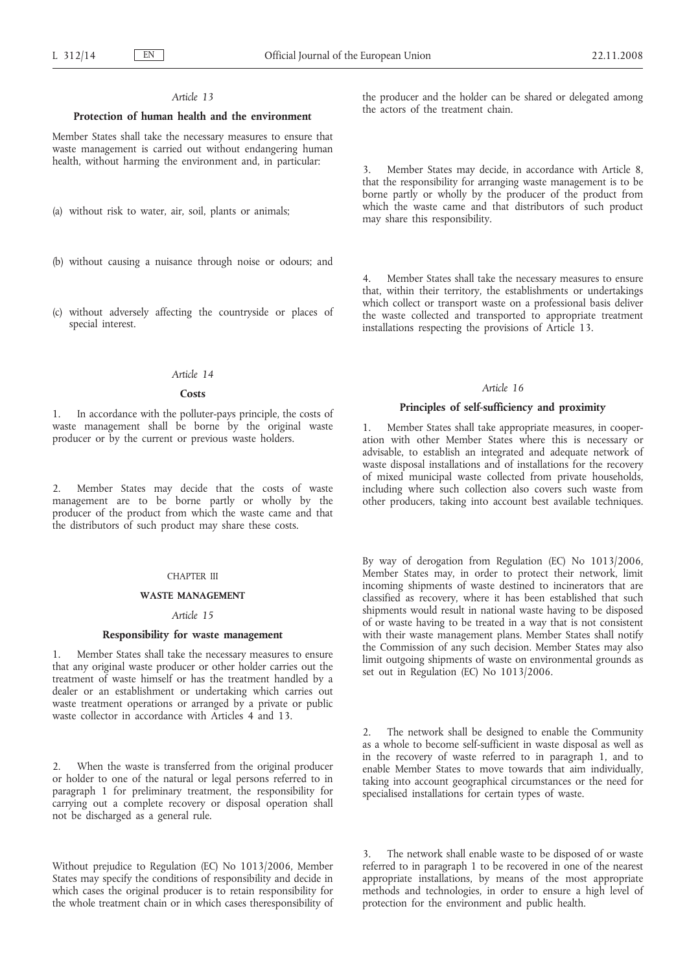### **Protection of human health and the environment**

Member States shall take the necessary measures to ensure that waste management is carried out without endangering human health, without harming the environment and, in particular:

- (a) without risk to water, air, soil, plants or animals;
- (b) without causing a nuisance through noise or odours; and
- (c) without adversely affecting the countryside or places of special interest.

## *Article 14*

#### **Costs**

1. In accordance with the polluter-pays principle, the costs of waste management shall be borne by the original waste producer or by the current or previous waste holders.

2. Member States may decide that the costs of waste management are to be borne partly or wholly by the producer of the product from which the waste came and that the distributors of such product may share these costs.

### CHAPTER III

#### **WASTE MANAGEMENT**

### *Article 15*

### **Responsibility for waste management**

1. Member States shall take the necessary measures to ensure that any original waste producer or other holder carries out the treatment of waste himself or has the treatment handled by a dealer or an establishment or undertaking which carries out waste treatment operations or arranged by a private or public waste collector in accordance with Articles 4 and 13.

2. When the waste is transferred from the original producer or holder to one of the natural or legal persons referred to in paragraph 1 for preliminary treatment, the responsibility for carrying out a complete recovery or disposal operation shall not be discharged as a general rule.

Without prejudice to Regulation (EC) No 1013/2006, Member States may specify the conditions of responsibility and decide in which cases the original producer is to retain responsibility for the whole treatment chain or in which cases theresponsibility of the producer and the holder can be shared or delegated among the actors of the treatment chain.

3. Member States may decide, in accordance with Article 8, that the responsibility for arranging waste management is to be borne partly or wholly by the producer of the product from which the waste came and that distributors of such product may share this responsibility.

4. Member States shall take the necessary measures to ensure that, within their territory, the establishments or undertakings which collect or transport waste on a professional basis deliver the waste collected and transported to appropriate treatment installations respecting the provisions of Article 13.

### *Article 16*

### **Principles of self-sufficiency and proximity**

1. Member States shall take appropriate measures, in cooperation with other Member States where this is necessary or advisable, to establish an integrated and adequate network of waste disposal installations and of installations for the recovery of mixed municipal waste collected from private households, including where such collection also covers such waste from other producers, taking into account best available techniques.

By way of derogation from Regulation (EC) No 1013/2006, Member States may, in order to protect their network, limit incoming shipments of waste destined to incinerators that are classified as recovery, where it has been established that such shipments would result in national waste having to be disposed of or waste having to be treated in a way that is not consistent with their waste management plans. Member States shall notify the Commission of any such decision. Member States may also limit outgoing shipments of waste on environmental grounds as set out in Regulation (EC) No 1013/2006.

2. The network shall be designed to enable the Community as a whole to become self-sufficient in waste disposal as well as in the recovery of waste referred to in paragraph 1, and to enable Member States to move towards that aim individually, taking into account geographical circumstances or the need for specialised installations for certain types of waste.

The network shall enable waste to be disposed of or waste referred to in paragraph 1 to be recovered in one of the nearest appropriate installations, by means of the most appropriate methods and technologies, in order to ensure a high level of protection for the environment and public health.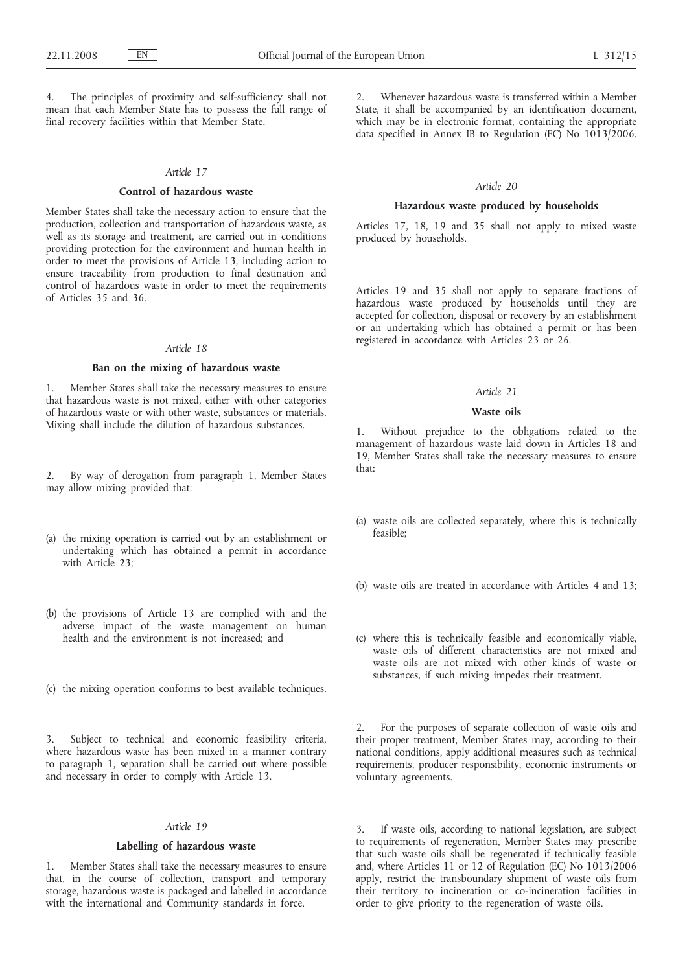The principles of proximity and self-sufficiency shall not mean that each Member State has to possess the full range of final recovery facilities within that Member State.

### *Article 17*

#### **Control of hazardous waste**

Member States shall take the necessary action to ensure that the production, collection and transportation of hazardous waste, as well as its storage and treatment, are carried out in conditions providing protection for the environment and human health in order to meet the provisions of Article 13, including action to ensure traceability from production to final destination and control of hazardous waste in order to meet the requirements of Articles 35 and 36.

## *Article 18*

### **Ban on the mixing of hazardous waste**

1. Member States shall take the necessary measures to ensure that hazardous waste is not mixed, either with other categories of hazardous waste or with other waste, substances or materials. Mixing shall include the dilution of hazardous substances.

2. By way of derogation from paragraph 1, Member States may allow mixing provided that:

- (a) the mixing operation is carried out by an establishment or undertaking which has obtained a permit in accordance with Article 23:
- (b) the provisions of Article 13 are complied with and the adverse impact of the waste management on human health and the environment is not increased; and
- (c) the mixing operation conforms to best available techniques.

3. Subject to technical and economic feasibility criteria, where hazardous waste has been mixed in a manner contrary to paragraph 1, separation shall be carried out where possible and necessary in order to comply with Article 13.

## *Article 19*

## **Labelling of hazardous waste**

1. Member States shall take the necessary measures to ensure that, in the course of collection, transport and temporary storage, hazardous waste is packaged and labelled in accordance with the international and Community standards in force.

2. Whenever hazardous waste is transferred within a Member State, it shall be accompanied by an identification document, which may be in electronic format, containing the appropriate data specified in Annex IB to Regulation (EC) No  $1013/2006$ .

## *Article 20*

### **Hazardous waste produced by households**

Articles 17, 18, 19 and 35 shall not apply to mixed waste produced by households.

Articles 19 and 35 shall not apply to separate fractions of hazardous waste produced by households until they are accepted for collection, disposal or recovery by an establishment or an undertaking which has obtained a permit or has been registered in accordance with Articles 23 or 26.

### *Article 21*

## **Waste oils**

1. Without prejudice to the obligations related to the management of hazardous waste laid down in Articles 18 and 19, Member States shall take the necessary measures to ensure that:

- (a) waste oils are collected separately, where this is technically feasible;
- (b) waste oils are treated in accordance with Articles 4 and 13;
- (c) where this is technically feasible and economically viable, waste oils of different characteristics are not mixed and waste oils are not mixed with other kinds of waste or substances, if such mixing impedes their treatment.

2. For the purposes of separate collection of waste oils and their proper treatment, Member States may, according to their national conditions, apply additional measures such as technical requirements, producer responsibility, economic instruments or voluntary agreements.

3. If waste oils, according to national legislation, are subject to requirements of regeneration, Member States may prescribe that such waste oils shall be regenerated if technically feasible and, where Articles 11 or 12 of Regulation (EC) No 1013/2006 apply, restrict the transboundary shipment of waste oils from their territory to incineration or co-incineration facilities in order to give priority to the regeneration of waste oils.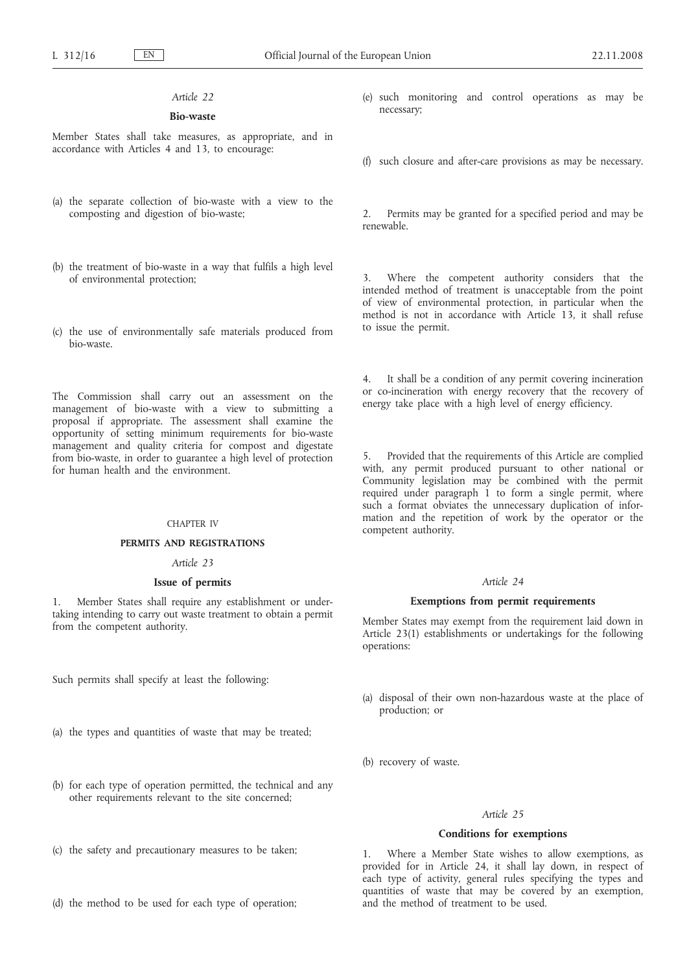## **Bio-waste**

Member States shall take measures, as appropriate, and in accordance with Articles 4 and 13, to encourage:

- (a) the separate collection of bio-waste with a view to the composting and digestion of bio-waste;
- (b) the treatment of bio-waste in a way that fulfils a high level of environmental protection;
- (c) the use of environmentally safe materials produced from bio-waste.

The Commission shall carry out an assessment on the management of bio-waste with a view to submitting a proposal if appropriate. The assessment shall examine the opportunity of setting minimum requirements for bio-waste management and quality criteria for compost and digestate from bio-waste, in order to guarantee a high level of protection for human health and the environment.

### CHAPTER IV

### **PERMITS AND REGISTRATIONS**

## *Article 23*

### **Issue of permits**

1. Member States shall require any establishment or undertaking intending to carry out waste treatment to obtain a permit from the competent authority.

Such permits shall specify at least the following:

- (a) the types and quantities of waste that may be treated;
- (b) for each type of operation permitted, the technical and any other requirements relevant to the site concerned;
- (c) the safety and precautionary measures to be taken;
- (d) the method to be used for each type of operation;
- (e) such monitoring and control operations as may be necessary;
- (f) such closure and after-care provisions as may be necessary.

2. Permits may be granted for a specified period and may be renewable.

Where the competent authority considers that the intended method of treatment is unacceptable from the point of view of environmental protection, in particular when the method is not in accordance with Article 13, it shall refuse to issue the permit.

It shall be a condition of any permit covering incineration or co-incineration with energy recovery that the recovery of energy take place with a high level of energy efficiency.

5. Provided that the requirements of this Article are complied with, any permit produced pursuant to other national or Community legislation may be combined with the permit required under paragraph 1 to form a single permit, where such a format obviates the unnecessary duplication of information and the repetition of work by the operator or the competent authority.

### *Article 24*

### **Exemptions from permit requirements**

Member States may exempt from the requirement laid down in Article 23(1) establishments or undertakings for the following operations:

- (a) disposal of their own non-hazardous waste at the place of production; or
- (b) recovery of waste.

# *Article 25*

## **Conditions for exemptions**

1. Where a Member State wishes to allow exemptions, as provided for in Article 24, it shall lay down, in respect of each type of activity, general rules specifying the types and quantities of waste that may be covered by an exemption, and the method of treatment to be used.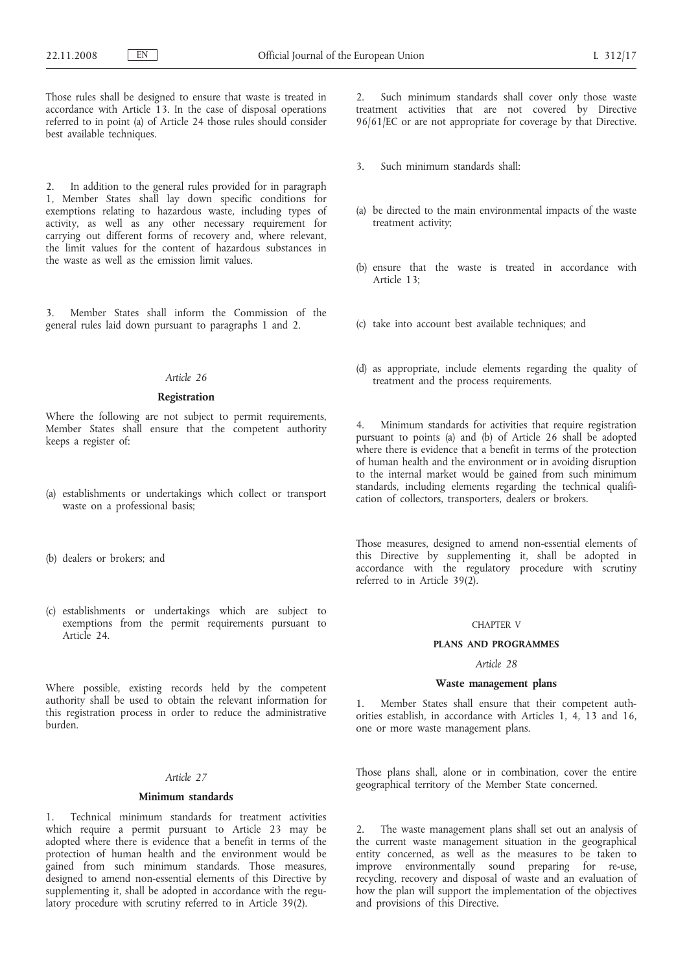Those rules shall be designed to ensure that waste is treated in accordance with Article 13. In the case of disposal operations referred to in point (a) of Article 24 those rules should consider best available techniques.

2. In addition to the general rules provided for in paragraph 1, Member States shall lay down specific conditions for exemptions relating to hazardous waste, including types of activity, as well as any other necessary requirement for carrying out different forms of recovery and, where relevant, the limit values for the content of hazardous substances in the waste as well as the emission limit values.

3. Member States shall inform the Commission of the general rules laid down pursuant to paragraphs 1 and 2.

## *Article 26*

### **Registration**

Where the following are not subject to permit requirements, Member States shall ensure that the competent authority keeps a register of:

- (a) establishments or undertakings which collect or transport waste on a professional basis;
- (b) dealers or brokers; and
- (c) establishments or undertakings which are subject to exemptions from the permit requirements pursuant to Article 24.

Where possible, existing records held by the competent authority shall be used to obtain the relevant information for this registration process in order to reduce the administrative burden.

## *Article 27*

### **Minimum standards**

1. Technical minimum standards for treatment activities which require a permit pursuant to Article 23 may be adopted where there is evidence that a benefit in terms of the protection of human health and the environment would be gained from such minimum standards. Those measures, designed to amend non-essential elements of this Directive by supplementing it, shall be adopted in accordance with the regulatory procedure with scrutiny referred to in Article 39(2).

2. Such minimum standards shall cover only those waste treatment activities that are not covered by Directive 96/61/EC or are not appropriate for coverage by that Directive.

- 3. Such minimum standards shall:
- (a) be directed to the main environmental impacts of the waste treatment activity;
- (b) ensure that the waste is treated in accordance with Article 13;
- (c) take into account best available techniques; and
- (d) as appropriate, include elements regarding the quality of treatment and the process requirements.

Minimum standards for activities that require registration pursuant to points (a) and (b) of Article 26 shall be adopted where there is evidence that a benefit in terms of the protection of human health and the environment or in avoiding disruption to the internal market would be gained from such minimum standards, including elements regarding the technical qualification of collectors, transporters, dealers or brokers.

Those measures, designed to amend non-essential elements of this Directive by supplementing it, shall be adopted in accordance with the regulatory procedure with scrutiny referred to in Article 39(2).

#### CHAPTER V

#### **PLANS AND PROGRAMMES**

## *Article 28*

### **Waste management plans**

1. Member States shall ensure that their competent authorities establish, in accordance with Articles 1, 4, 13 and 16, one or more waste management plans.

Those plans shall, alone or in combination, cover the entire geographical territory of the Member State concerned.

2. The waste management plans shall set out an analysis of the current waste management situation in the geographical entity concerned, as well as the measures to be taken to improve environmentally sound preparing for re-use, recycling, recovery and disposal of waste and an evaluation of how the plan will support the implementation of the objectives and provisions of this Directive.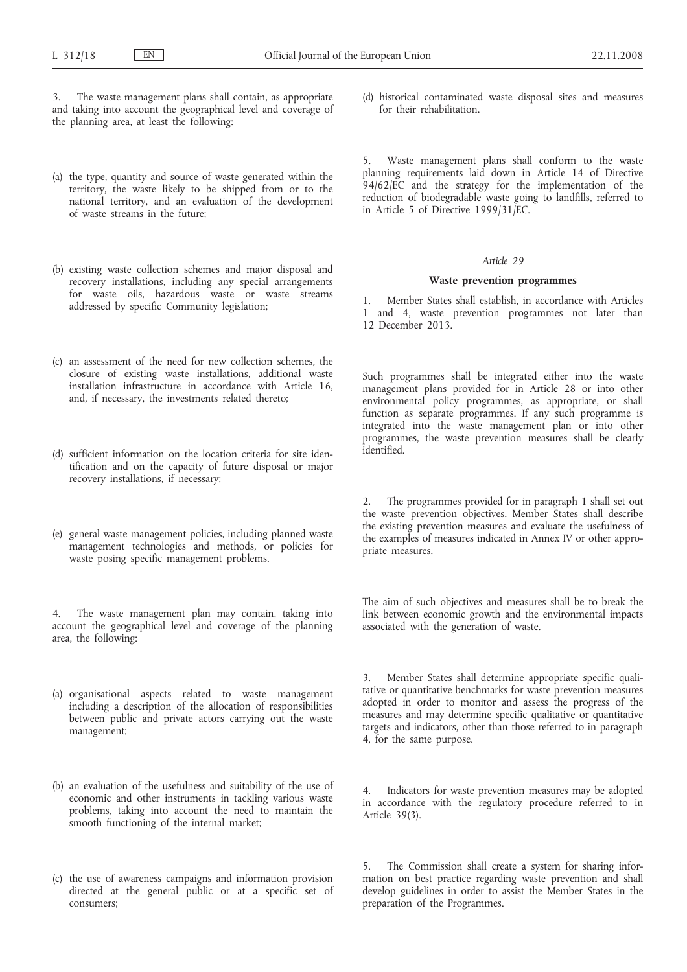The waste management plans shall contain, as appropriate and taking into account the geographical level and coverage of the planning area, at least the following:

- (a) the type, quantity and source of waste generated within the territory, the waste likely to be shipped from or to the national territory, and an evaluation of the development of waste streams in the future;
- (b) existing waste collection schemes and major disposal and recovery installations, including any special arrangements for waste oils, hazardous waste or waste streams addressed by specific Community legislation;
- (c) an assessment of the need for new collection schemes, the closure of existing waste installations, additional waste installation infrastructure in accordance with Article 16, and, if necessary, the investments related thereto;
- (d) sufficient information on the location criteria for site identification and on the capacity of future disposal or major recovery installations, if necessary;
- (e) general waste management policies, including planned waste management technologies and methods, or policies for waste posing specific management problems.

The waste management plan may contain, taking into account the geographical level and coverage of the planning area, the following:

- (a) organisational aspects related to waste management including a description of the allocation of responsibilities between public and private actors carrying out the waste management;
- (b) an evaluation of the usefulness and suitability of the use of economic and other instruments in tackling various waste problems, taking into account the need to maintain the smooth functioning of the internal market;
- (c) the use of awareness campaigns and information provision directed at the general public or at a specific set of consumers;

(d) historical contaminated waste disposal sites and measures for their rehabilitation.

Waste management plans shall conform to the waste planning requirements laid down in Article 14 of Directive 94/62/EC and the strategy for the implementation of the reduction of biodegradable waste going to landfills, referred to in Article 5 of Directive 1999/31/EC.

#### *Article 29*

### **Waste prevention programmes**

1. Member States shall establish, in accordance with Articles 1 and 4, waste prevention programmes not later than 12 December 2013.

Such programmes shall be integrated either into the waste management plans provided for in Article 28 or into other environmental policy programmes, as appropriate, or shall function as separate programmes. If any such programme is integrated into the waste management plan or into other programmes, the waste prevention measures shall be clearly identified.

2. The programmes provided for in paragraph 1 shall set out the waste prevention objectives. Member States shall describe the existing prevention measures and evaluate the usefulness of the examples of measures indicated in Annex IV or other appropriate measures.

The aim of such objectives and measures shall be to break the link between economic growth and the environmental impacts associated with the generation of waste.

3. Member States shall determine appropriate specific qualitative or quantitative benchmarks for waste prevention measures adopted in order to monitor and assess the progress of the measures and may determine specific qualitative or quantitative targets and indicators, other than those referred to in paragraph 4, for the same purpose.

4. Indicators for waste prevention measures may be adopted in accordance with the regulatory procedure referred to in Article 39(3).

5. The Commission shall create a system for sharing information on best practice regarding waste prevention and shall develop guidelines in order to assist the Member States in the preparation of the Programmes.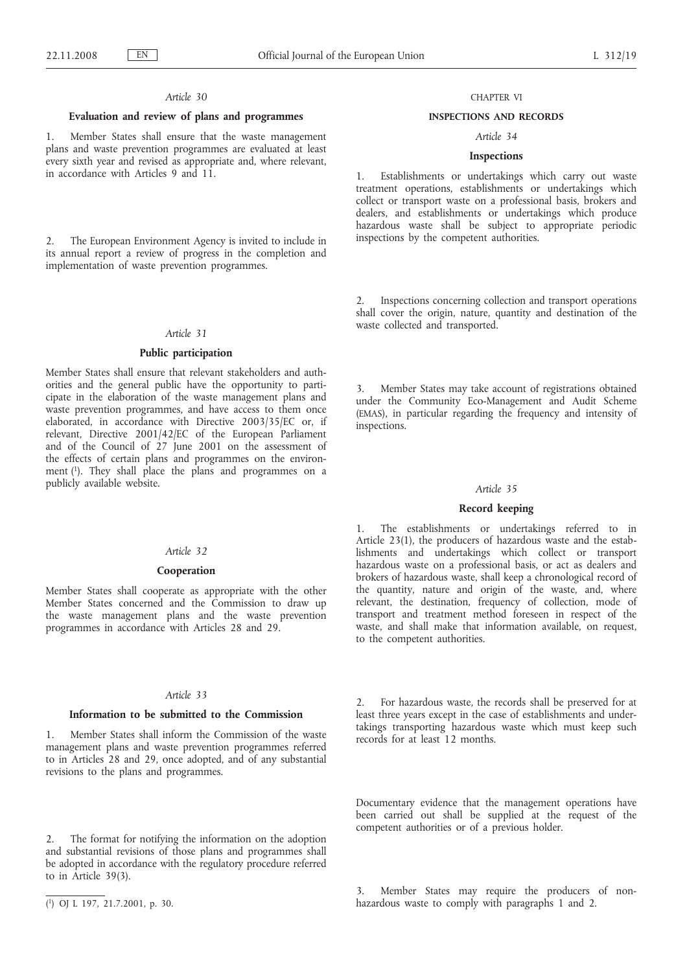### **Evaluation and review of plans and programmes**

1. Member States shall ensure that the waste management plans and waste prevention programmes are evaluated at least every sixth year and revised as appropriate and, where relevant, in accordance with Articles 9 and 11.

2. The European Environment Agency is invited to include in its annual report a review of progress in the completion and implementation of waste prevention programmes.

#### *Article 31*

### **Public participation**

Member States shall ensure that relevant stakeholders and authorities and the general public have the opportunity to participate in the elaboration of the waste management plans and waste prevention programmes, and have access to them once elaborated, in accordance with Directive 2003/35/EC or, if relevant, Directive 2001/42/EC of the European Parliament and of the Council of 27 June 2001 on the assessment of the effects of certain plans and programmes on the environment (1). They shall place the plans and programmes on a publicly available website.

### *Article 32*

### **Cooperation**

Member States shall cooperate as appropriate with the other Member States concerned and the Commission to draw up the waste management plans and the waste prevention programmes in accordance with Articles 28 and 29.

## *Article 33*

## **Information to be submitted to the Commission**

1. Member States shall inform the Commission of the waste management plans and waste prevention programmes referred to in Articles 28 and 29, once adopted, and of any substantial revisions to the plans and programmes.

2. The format for notifying the information on the adoption and substantial revisions of those plans and programmes shall be adopted in accordance with the regulatory procedure referred to in Article 39(3).

### CHAPTER VI

### **INSPECTIONS AND RECORDS**

## *Article 34*

## **Inspections**

1. Establishments or undertakings which carry out waste treatment operations, establishments or undertakings which collect or transport waste on a professional basis, brokers and dealers, and establishments or undertakings which produce hazardous waste shall be subject to appropriate periodic inspections by the competent authorities.

2. Inspections concerning collection and transport operations shall cover the origin, nature, quantity and destination of the waste collected and transported.

3. Member States may take account of registrations obtained under the Community Eco-Management and Audit Scheme (EMAS), in particular regarding the frequency and intensity of inspections.

### *Article 35*

### **Record keeping**

1. The establishments or undertakings referred to in Article 23(1), the producers of hazardous waste and the establishments and undertakings which collect or transport hazardous waste on a professional basis, or act as dealers and brokers of hazardous waste, shall keep a chronological record of the quantity, nature and origin of the waste, and, where relevant, the destination, frequency of collection, mode of transport and treatment method foreseen in respect of the waste, and shall make that information available, on request, to the competent authorities.

2. For hazardous waste, the records shall be preserved for at least three years except in the case of establishments and undertakings transporting hazardous waste which must keep such records for at least 12 months.

Documentary evidence that the management operations have been carried out shall be supplied at the request of the competent authorities or of a previous holder.

3. Member States may require the producers of nonhazardous waste to comply with paragraphs 1 and 2.

<sup>(</sup> 1) OJ L 197, 21.7.2001, p. 30.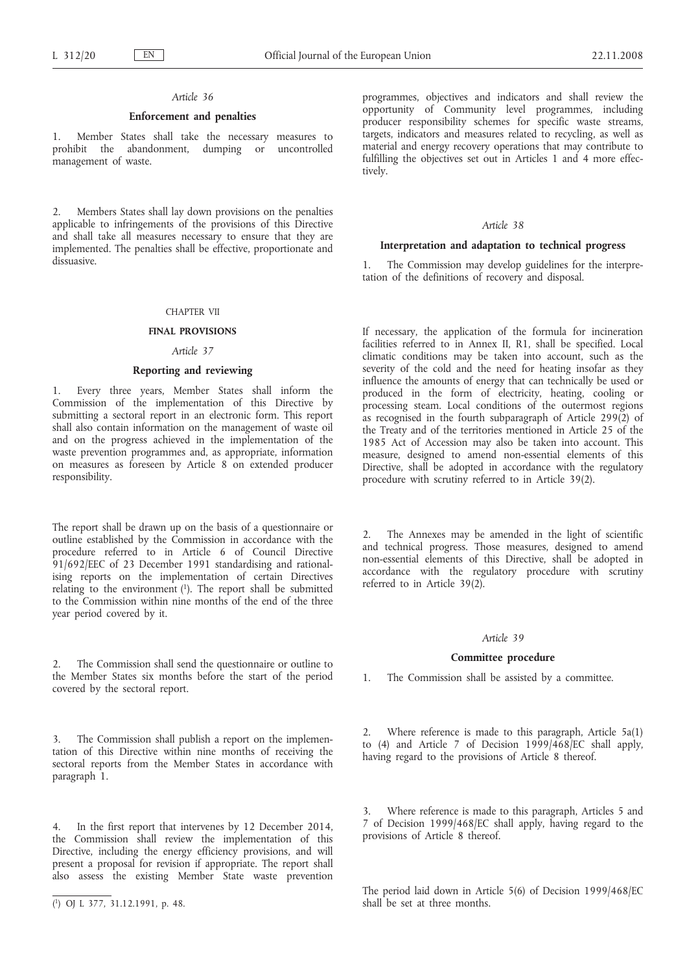### **Enforcement and penalties**

1. Member States shall take the necessary measures to prohibit the abandonment, dumping or management of waste.

2. Members States shall lay down provisions on the penalties applicable to infringements of the provisions of this Directive and shall take all measures necessary to ensure that they are implemented. The penalties shall be effective, proportionate and dissuasive.

## CHAPTER VII

### **FINAL PROVISIONS**

## *Article 37*

## **Reporting and reviewing**

1. Every three years, Member States shall inform the Commission of the implementation of this Directive by submitting a sectoral report in an electronic form. This report shall also contain information on the management of waste oil and on the progress achieved in the implementation of the waste prevention programmes and, as appropriate, information on measures as foreseen by Article 8 on extended producer responsibility.

The report shall be drawn up on the basis of a questionnaire or outline established by the Commission in accordance with the procedure referred to in Article 6 of Council Directive 91/692/EEC of 23 December 1991 standardising and rationalising reports on the implementation of certain Directives relating to the environment  $(1)$ . The report shall be submitted to the Commission within nine months of the end of the three year period covered by it.

2. The Commission shall send the questionnaire or outline to the Member States six months before the start of the period covered by the sectoral report.

3. The Commission shall publish a report on the implementation of this Directive within nine months of receiving the sectoral reports from the Member States in accordance with paragraph 1.

4. In the first report that intervenes by 12 December 2014, the Commission shall review the implementation of this Directive, including the energy efficiency provisions, and will present a proposal for revision if appropriate. The report shall also assess the existing Member State waste prevention

programmes, objectives and indicators and shall review the opportunity of Community level programmes, including producer responsibility schemes for specific waste streams, targets, indicators and measures related to recycling, as well as material and energy recovery operations that may contribute to fulfilling the objectives set out in Articles 1 and 4 more effectively.

# *Article 38*

### **Interpretation and adaptation to technical progress**

The Commission may develop guidelines for the interpretation of the definitions of recovery and disposal.

If necessary, the application of the formula for incineration facilities referred to in Annex II, R1, shall be specified. Local climatic conditions may be taken into account, such as the severity of the cold and the need for heating insofar as they influence the amounts of energy that can technically be used or produced in the form of electricity, heating, cooling or processing steam. Local conditions of the outermost regions as recognised in the fourth subparagraph of Article 299(2) of the Treaty and of the territories mentioned in Article 25 of the 1985 Act of Accession may also be taken into account. This measure, designed to amend non-essential elements of this Directive, shall be adopted in accordance with the regulatory procedure with scrutiny referred to in Article 39(2).

2. The Annexes may be amended in the light of scientific and technical progress. Those measures, designed to amend non-essential elements of this Directive, shall be adopted in accordance with the regulatory procedure with scrutiny referred to in Article 39(2).

#### *Article 39*

### **Committee procedure**

1. The Commission shall be assisted by a committee.

2. Where reference is made to this paragraph, Article 5a(1) to (4) and Article 7 of Decision 1999/468/EC shall apply, having regard to the provisions of Article 8 thereof.

3. Where reference is made to this paragraph, Articles 5 and 7 of Decision 1999/468/EC shall apply, having regard to the provisions of Article 8 thereof.

The period laid down in Article 5(6) of Decision 1999/468/EC shall be set at three months.

<sup>(</sup> 1) OJ L 377, 31.12.1991, p. 48.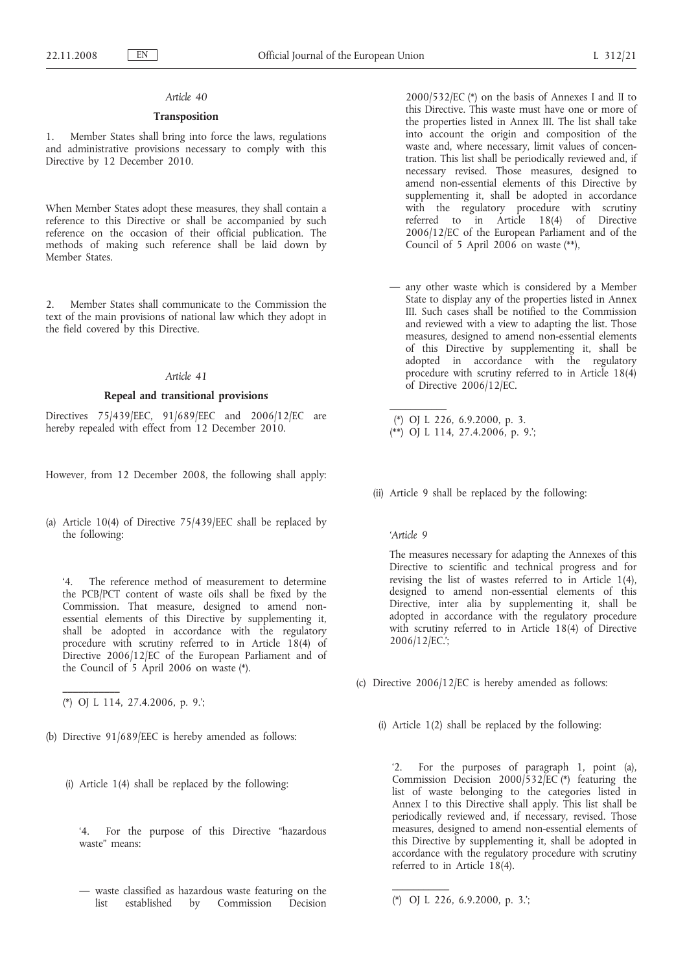## **Transposition**

1. Member States shall bring into force the laws, regulations and administrative provisions necessary to comply with this Directive by 12 December 2010.

When Member States adopt these measures, they shall contain a reference to this Directive or shall be accompanied by such reference on the occasion of their official publication. The methods of making such reference shall be laid down by Member States.

2. Member States shall communicate to the Commission the text of the main provisions of national law which they adopt in the field covered by this Directive.

### *Article 41*

### **Repeal and transitional provisions**

Directives 75/439/EEC, 91/689/EEC and 2006/12/EC are hereby repealed with effect from 12 December 2010.

However, from 12 December 2008, the following shall apply:

(a) Article 10(4) of Directive 75/439/EEC shall be replaced by the following:

'4. The reference method of measurement to determine the PCB/PCT content of waste oils shall be fixed by the Commission. That measure, designed to amend nonessential elements of this Directive by supplementing it, shall be adopted in accordance with the regulatory procedure with scrutiny referred to in Article 18(4) of Directive 2006/12/EC of the European Parliament and of the Council of 5 April 2006 on waste (\*).

(\*) OJ L 114, 27.4.2006, p. 9.';

**\_\_\_\_\_\_\_\_\_\_\_**

- (b) Directive 91/689/EEC is hereby amended as follows:
	- (i) Article 1(4) shall be replaced by the following:
		- '4. For the purpose of this Directive "hazardous waste" means:
		- waste classified as hazardous waste featuring on the list established by Commission Decision

2000/532/EC (\*) on the basis of Annexes I and II to this Directive. This waste must have one or more of the properties listed in Annex III. The list shall take into account the origin and composition of the waste and, where necessary, limit values of concentration. This list shall be periodically reviewed and, if necessary revised. Those measures, designed to amend non-essential elements of this Directive by supplementing it, shall be adopted in accordance with the regulatory procedure with scrutiny referred to in Article 18(4) of Directive 2006/12/EC of the European Parliament and of the Council of 5 April 2006 on waste  $(**)$ ,

— any other waste which is considered by a Member State to display any of the properties listed in Annex III. Such cases shall be notified to the Commission and reviewed with a view to adapting the list. Those measures, designed to amend non-essential elements of this Directive by supplementing it, shall be adopted in accordance with the regulatory procedure with scrutiny referred to in Article 18(4) of Directive 2006/12/EC.

(\*) OJ L 226, 6.9.2000, p. 3. (\*\*) OJ L 114, 27.4.2006, p. 9.';

(ii) Article 9 shall be replaced by the following:

*'Article 9*

**\_\_\_\_\_\_\_\_\_\_\_**

The measures necessary for adapting the Annexes of this Directive to scientific and technical progress and for revising the list of wastes referred to in Article 1(4), designed to amend non-essential elements of this Directive, inter alia by supplementing it, shall be adopted in accordance with the regulatory procedure with scrutiny referred to in Article 18(4) of Directive 2006/12/EC.';

- (c) Directive 2006/12/EC is hereby amended as follows:
	- (i) Article 1(2) shall be replaced by the following:

'2. For the purposes of paragraph 1, point (a), Commission Decision 2000/532/ $\overline{EC}$  (\*) featuring the list of waste belonging to the categories listed in Annex I to this Directive shall apply. This list shall be periodically reviewed and, if necessary, revised. Those measures, designed to amend non-essential elements of this Directive by supplementing it, shall be adopted in accordance with the regulatory procedure with scrutiny referred to in Article 18(4).

**\_\_\_\_\_\_\_\_\_\_\_**

<sup>(\*)</sup> OJ L 226, 6.9.2000, p. 3.';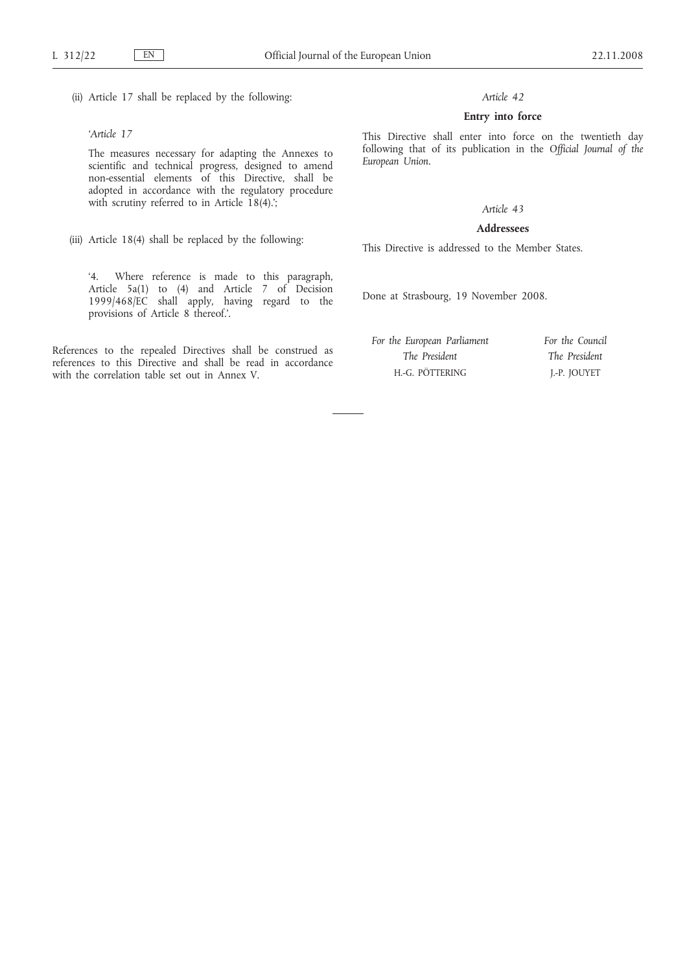(ii) Article 17 shall be replaced by the following:

## *'Article 17*

The measures necessary for adapting the Annexes to scientific and technical progress, designed to amend non-essential elements of this Directive, shall be adopted in accordance with the regulatory procedure with scrutiny referred to in Article 18(4).<sup>'</sup>;

(iii) Article 18(4) shall be replaced by the following:

'4. Where reference is made to this paragraph, Article 5a(1) to (4) and Article 7 of Decision 1999/468/EC shall apply, having regard to the provisions of Article 8 thereof.'.

References to the repealed Directives shall be construed as references to this Directive and shall be read in accordance with the correlation table set out in Annex V.

## *Article 42*

## **Entry into force**

This Directive shall enter into force on the twentieth day following that of its publication in the *Official Journal of the European Union*.

# *Article 43*

# **Addressees**

This Directive is addressed to the Member States.

Done at Strasbourg, 19 November 2008.

*For the European Parliament The President* H.-G. PÖTTERING *For the Council The President* J.-P. JOUYET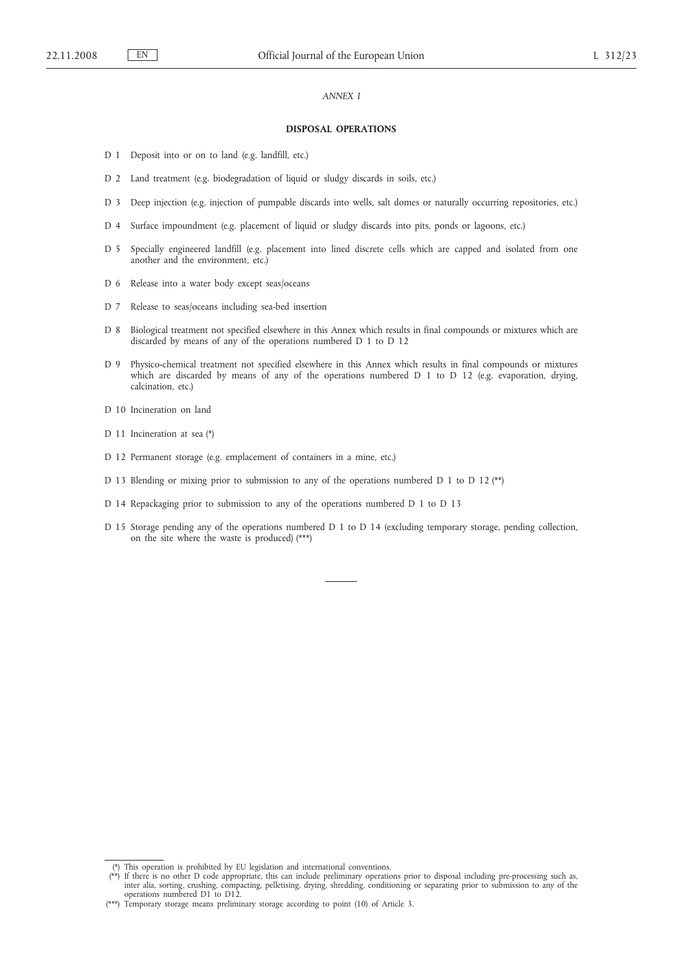### *ANNEX I*

#### **DISPOSAL OPERATIONS**

- D 1 Deposit into or on to land (e.g. landfill, etc.)
- D 2 Land treatment (e.g. biodegradation of liquid or sludgy discards in soils, etc.)
- D 3 Deep injection (e.g. injection of pumpable discards into wells, salt domes or naturally occurring repositories, etc.)
- D 4 Surface impoundment (e.g. placement of liquid or sludgy discards into pits, ponds or lagoons, etc.)
- D 5 Specially engineered landfill (e.g. placement into lined discrete cells which are capped and isolated from one another and the environment, etc.)
- D 6 Release into a water body except seas/oceans
- D 7 Release to seas/oceans including sea-bed insertion
- D 8 Biological treatment not specified elsewhere in this Annex which results in final compounds or mixtures which are discarded by means of any of the operations numbered D 1 to D 12
- D 9 Physico-chemical treatment not specified elsewhere in this Annex which results in final compounds or mixtures which are discarded by means of any of the operations numbered D 1 to D 12 (e.g. evaporation, drying, calcination, etc.)
- D 10 Incineration on land
- D 11 Incineration at sea (\*)
- D 12 Permanent storage (e.g. emplacement of containers in a mine, etc.)
- D 13 Blending or mixing prior to submission to any of the operations numbered D 1 to D 12 (\*\*)
- D 14 Repackaging prior to submission to any of the operations numbered D 1 to D 13
- D 15 Storage pending any of the operations numbered D 1 to D 14 (excluding temporary storage, pending collection, on the site where the waste is produced) (\*\*\*)

<sup>(\*)</sup> This operation is prohibited by EU legislation and international conventions.<br>(\*\*) If there is no other D code appropriate, this can include preliminary operations prior to disposal including pre-processing such as,<br>in operations numbered D1 to D12.

<sup>(\*\*\*)</sup> Temporary storage means preliminary storage according to point (10) of Article 3.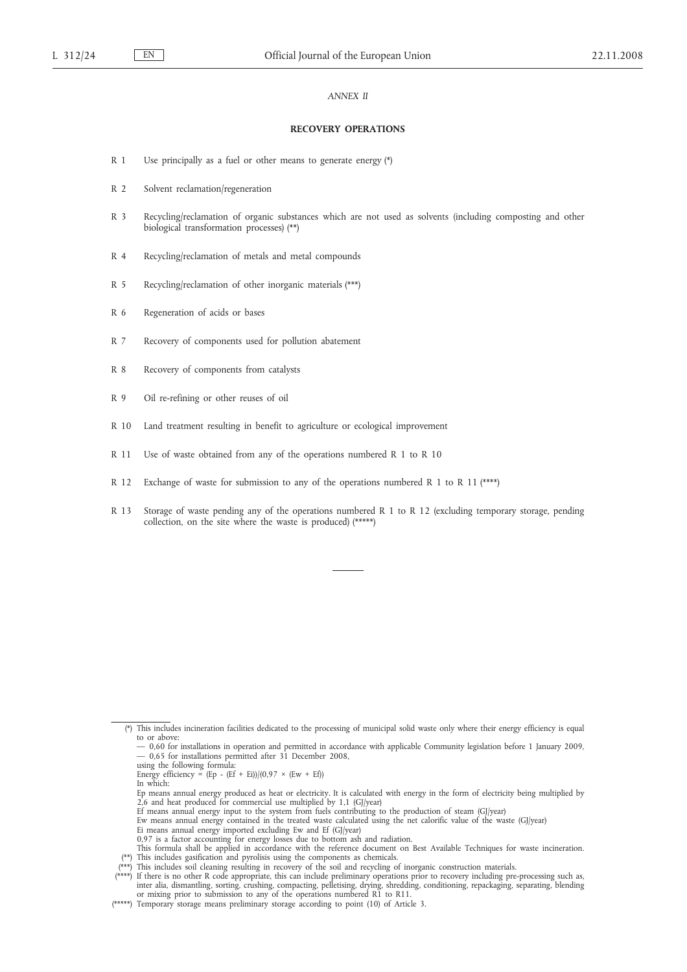### *ANNEX II*

#### **RECOVERY OPERATIONS**

- R 1 Use principally as a fuel or other means to generate energy (\*)
- R 2 Solvent reclamation/regeneration
- R 3 Recycling/reclamation of organic substances which are not used as solvents (including composting and other biological transformation processes) (\*\*)
- R 4 Recycling/reclamation of metals and metal compounds
- R 5 Recycling/reclamation of other inorganic materials (\*\*\*)
- R 6 Regeneration of acids or bases
- R 7 Recovery of components used for pollution abatement
- R 8 Recovery of components from catalysts
- R 9 Oil re-refining or other reuses of oil
- R 10 Land treatment resulting in benefit to agriculture or ecological improvement
- R 11 Use of waste obtained from any of the operations numbered R 1 to R 10
- R 12 Exchange of waste for submission to any of the operations numbered R 1 to R 11 (\*\*\*\*)
- R 13 Storage of waste pending any of the operations numbered R 1 to R 12 (excluding temporary storage, pending collection, on the site where the waste is produced) (\*\*\*\*\*)

- In which:
- Ep means annual energy produced as heat or electricity. It is calculated with energy in the form of electricity being multiplied by  $2,6$  and heat produced for commercial use multiplied by 1,1 (GJ/year)
- Ef means annual energy input to the system from fuels contributing to the production of steam (GJ/year) Ew means annual energy contained in the treated waste calculated using the net calorific value of the waste (GJ/year)
- 
- Ei means annual energy imported excluding Ew and Ef (GJ/year)
- 0,97 is a factor accounting for energy losses due to bottom ash and radiation. This formula shall be applied in accordance with the reference document on Best Available Techniques for waste incineration.
- (\*\*) This includes gasification and pyrolisis using the components as chemicals.
- 

<sup>(\*)</sup> This includes incineration facilities dedicated to the processing of municipal solid waste only where their energy efficiency is equal to or above:

<sup>- 0,60</sup> for installations in operation and permitted in accordance with applicable Community legislation before 1 January 2009,<br>- 0,65 for installations permitted after 31 December 2008,<br>using the following formula:<br>Energy

<sup>(\*\*\*\*)</sup> This includes soil cleaning resulting in recovery of the soil and recycling of inorganic construction materials.<br>(\*\*\*\*) If there is no other R code appropriate, this can include preliminary operations prior to recov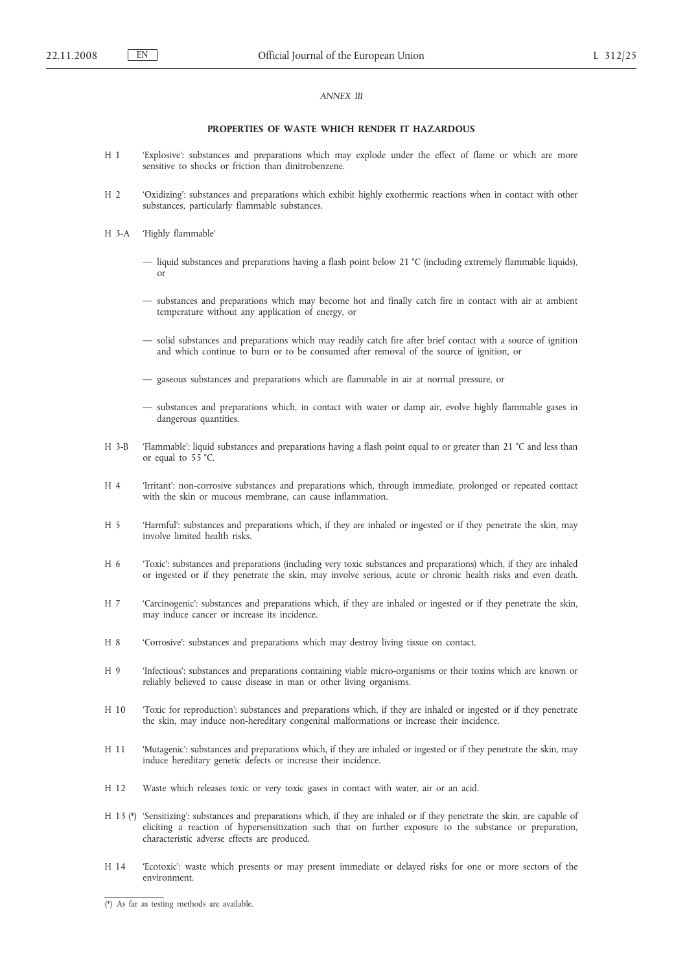### *ANNEX III*

### **PROPERTIES OF WASTE WHICH RENDER IT HAZARDOUS**

- H 1 'Explosive': substances and preparations which may explode under the effect of flame or which are more sensitive to shocks or friction than dinitrobenzene.
- H 2 'Oxidizing': substances and preparations which exhibit highly exothermic reactions when in contact with other substances, particularly flammable substances.
- H 3-A 'Highly flammable'
	- liquid substances and preparations having a flash point below 21 °C (including extremely flammable liquids), or
	- substances and preparations which may become hot and finally catch fire in contact with air at ambient temperature without any application of energy, or
	- solid substances and preparations which may readily catch fire after brief contact with a source of ignition and which continue to burn or to be consumed after removal of the source of ignition, or
	- gaseous substances and preparations which are flammable in air at normal pressure, or
	- substances and preparations which, in contact with water or damp air, evolve highly flammable gases in dangerous quantities.
- H 3-B 'Flammable': liquid substances and preparations having a flash point equal to or greater than 21 °C and less than or equal to 55 °C.
- H 4 'Irritant': non-corrosive substances and preparations which, through immediate, prolonged or repeated contact with the skin or mucous membrane, can cause inflammation.
- H 5 'Harmful': substances and preparations which, if they are inhaled or ingested or if they penetrate the skin, may involve limited health risks.
- H 6 'Toxic': substances and preparations (including very toxic substances and preparations) which, if they are inhaled or ingested or if they penetrate the skin, may involve serious, acute or chronic health risks and even death.
- H 7 'Carcinogenic': substances and preparations which, if they are inhaled or ingested or if they penetrate the skin, may induce cancer or increase its incidence.
- H 8 'Corrosive': substances and preparations which may destroy living tissue on contact.
- H 9 'Infectious': substances and preparations containing viable micro-organisms or their toxins which are known or reliably believed to cause disease in man or other living organisms.
- H 10 'Toxic for reproduction': substances and preparations which, if they are inhaled or ingested or if they penetrate the skin, may induce non-hereditary congenital malformations or increase their incidence.
- H 11 'Mutagenic': substances and preparations which, if they are inhaled or ingested or if they penetrate the skin, may induce hereditary genetic defects or increase their incidence.
- H 12 Waste which releases toxic or very toxic gases in contact with water, air or an acid.
- H 13 (\*) 'Sensitizing': substances and preparations which, if they are inhaled or if they penetrate the skin, are capable of eliciting a reaction of hypersensitization such that on further exposure to the substance or preparation, characteristic adverse effects are produced.
- H 14 'Ecotoxic': waste which presents or may present immediate or delayed risks for one or more sectors of the environment.

 $(*)$  As far as testing methods are available.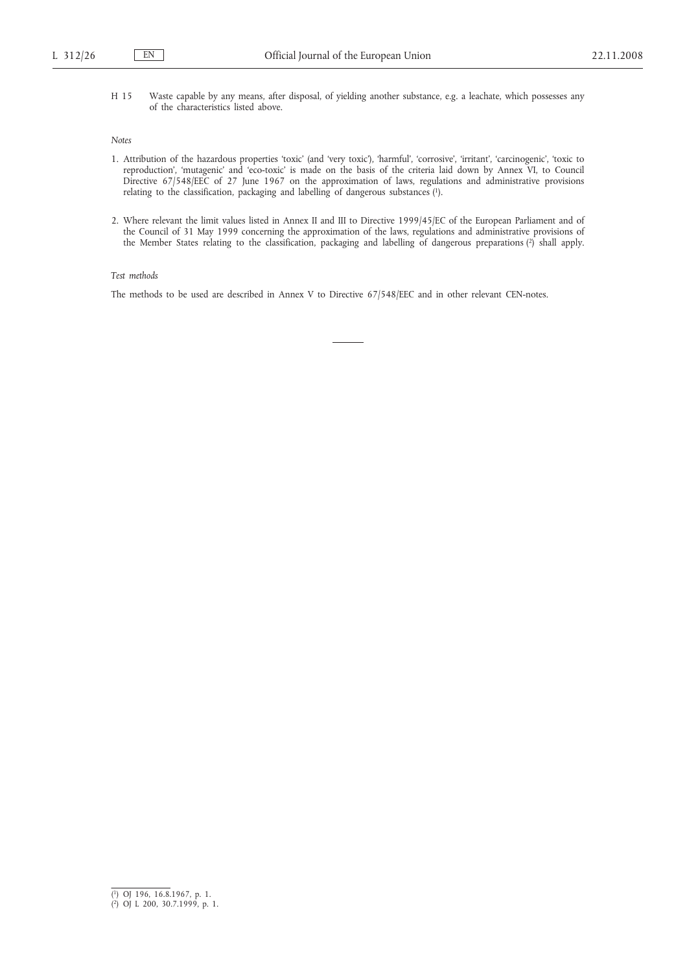H 15 Waste capable by any means, after disposal, of yielding another substance, e.g. a leachate, which possesses any of the characteristics listed above.

### *Notes*

- 1. Attribution of the hazardous properties 'toxic' (and 'very toxic'), 'harmful', 'corrosive', 'irritant', 'carcinogenic', 'toxic to reproduction', 'mutagenic' and 'eco-toxic' is made on the basis of the criteria laid down by Annex VI, to Council Directive 67/548/EEC of 27 June 1967 on the approximation of laws, regulations and administrative provisions relating to the classification, packaging and labelling of dangerous substances (1).
- 2. Where relevant the limit values listed in Annex II and III to Directive 1999/45/EC of the European Parliament and of the Council of 31 May 1999 concerning the approximation of the laws, regulations and administrative provisions of the Member States relating to the classification, packaging and labelling of dangerous preparations (2) shall apply.

## *Test methods*

The methods to be used are described in Annex V to Directive 67/548/EEC and in other relevant CEN-notes.

<sup>(</sup> 1) OJ 196, 16.8.1967, p. 1. ( 2) OJ L 200, 30.7.1999, p. 1.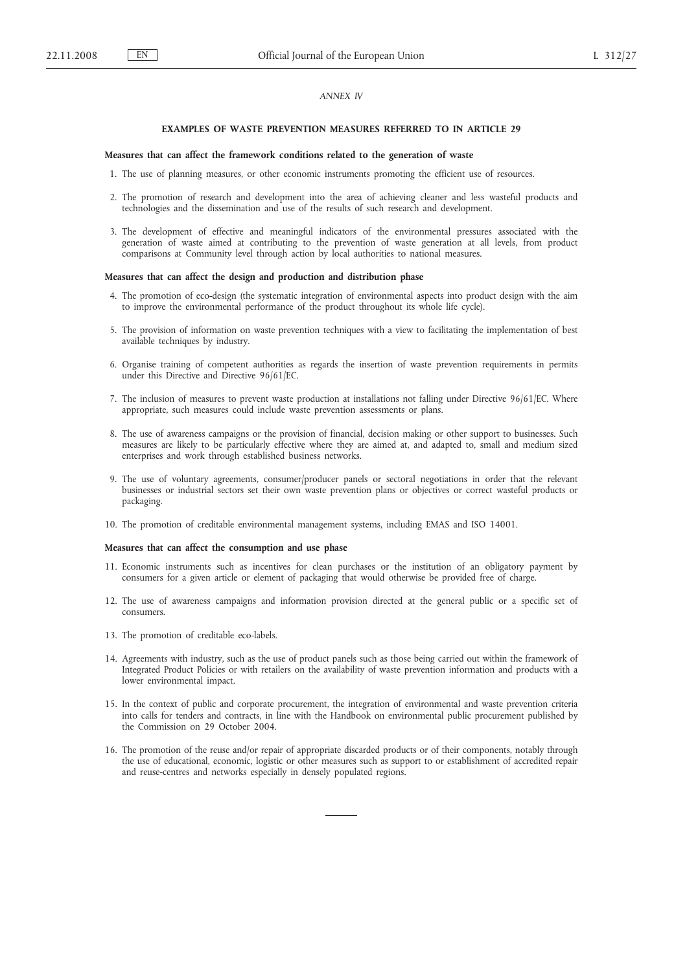## *ANNEX IV*

#### **EXAMPLES OF WASTE PREVENTION MEASURES REFERRED TO IN ARTICLE 29**

#### **Measures that can affect the framework conditions related to the generation of waste**

- 1. The use of planning measures, or other economic instruments promoting the efficient use of resources.
- 2. The promotion of research and development into the area of achieving cleaner and less wasteful products and technologies and the dissemination and use of the results of such research and development.
- 3. The development of effective and meaningful indicators of the environmental pressures associated with the generation of waste aimed at contributing to the prevention of waste generation at all levels, from product comparisons at Community level through action by local authorities to national measures.

#### **Measures that can affect the design and production and distribution phase**

- 4. The promotion of eco-design (the systematic integration of environmental aspects into product design with the aim to improve the environmental performance of the product throughout its whole life cycle).
- 5. The provision of information on waste prevention techniques with a view to facilitating the implementation of best available techniques by industry.
- 6. Organise training of competent authorities as regards the insertion of waste prevention requirements in permits under this Directive and Directive 96/61/EC.
- 7. The inclusion of measures to prevent waste production at installations not falling under Directive 96/61/EC. Where appropriate, such measures could include waste prevention assessments or plans.
- 8. The use of awareness campaigns or the provision of financial, decision making or other support to businesses. Such measures are likely to be particularly effective where they are aimed at, and adapted to, small and medium sized enterprises and work through established business networks.
- 9. The use of voluntary agreements, consumer/producer panels or sectoral negotiations in order that the relevant businesses or industrial sectors set their own waste prevention plans or objectives or correct wasteful products or packaging.
- 10. The promotion of creditable environmental management systems, including EMAS and ISO 14001.

### **Measures that can affect the consumption and use phase**

- 11. Economic instruments such as incentives for clean purchases or the institution of an obligatory payment by consumers for a given article or element of packaging that would otherwise be provided free of charge.
- 12. The use of awareness campaigns and information provision directed at the general public or a specific set of consumers.
- 13. The promotion of creditable eco-labels.
- 14. Agreements with industry, such as the use of product panels such as those being carried out within the framework of Integrated Product Policies or with retailers on the availability of waste prevention information and products with a lower environmental impact.
- 15. In the context of public and corporate procurement, the integration of environmental and waste prevention criteria into calls for tenders and contracts, in line with the Handbook on environmental public procurement published by the Commission on 29 October 2004.
- 16. The promotion of the reuse and/or repair of appropriate discarded products or of their components, notably through the use of educational, economic, logistic or other measures such as support to or establishment of accredited repair and reuse-centres and networks especially in densely populated regions.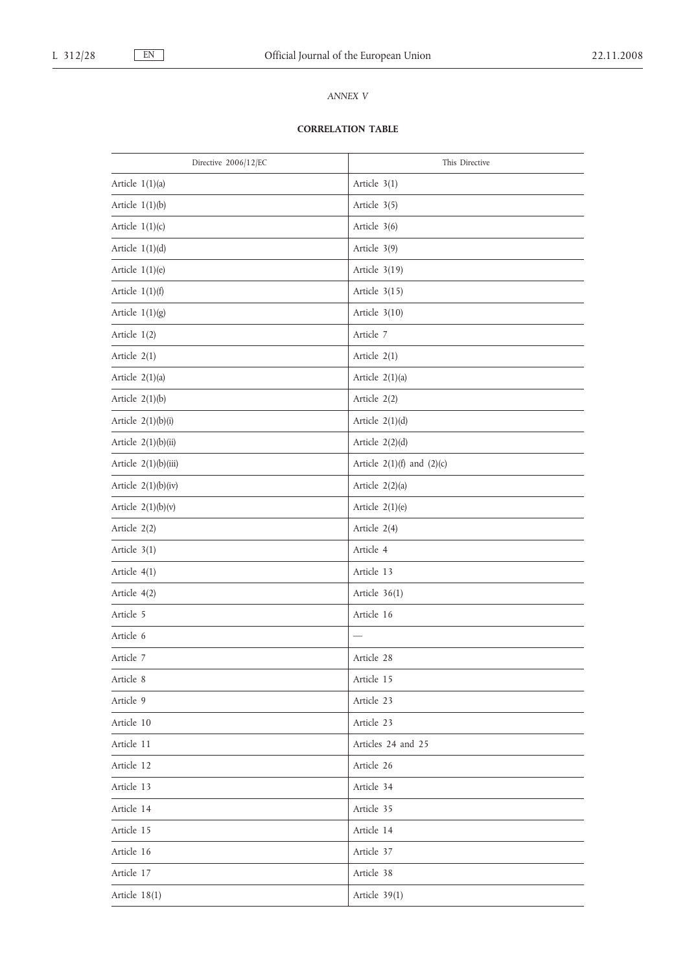# *ANNEX V*

# **CORRELATION TABLE**

| Directive 2006/12/EC  | This Directive                 |
|-----------------------|--------------------------------|
| Article $1(1)(a)$     | Article 3(1)                   |
| Article $1(1)(b)$     | Article 3(5)                   |
| Article $1(1)(c)$     | Article 3(6)                   |
| Article $1(1)(d)$     | Article 3(9)                   |
| Article $1(1)(e)$     | Article 3(19)                  |
| Article $1(1)(f)$     | Article $3(15)$                |
| Article $1(1)(g)$     | Article $3(10)$                |
| Article $1(2)$        | Article 7                      |
| Article 2(1)          | Article 2(1)                   |
| Article $2(1)(a)$     | Article $2(1)(a)$              |
| Article $2(1)(b)$     | Article 2(2)                   |
| Article $2(1)(b)(i)$  | Article $2(1)(d)$              |
| Article 2(1)(b)(ii)   | Article $2(2)(d)$              |
| Article 2(1)(b)(iii)  | Article $2(1)(f)$ and $(2)(c)$ |
| Article $2(1)(b)(iv)$ | Article 2(2)(a)                |
| Article $2(1)(b)(v)$  | Article $2(1)(e)$              |
| Article 2(2)          | Article 2(4)                   |
| Article 3(1)          | Article 4                      |
| Article 4(1)          | Article 13                     |
| Article 4(2)          | Article $36(1)$                |
| Article 5             | Article 16                     |
| Article 6             |                                |
| Article 7             | Article 28                     |
| Article 8             | Article 15                     |
| Article 9             | Article 23                     |
| Article 10            | Article 23                     |
| Article 11            | Articles 24 and 25             |
| Article 12            | Article 26                     |
| Article 13            | Article 34                     |
| Article 14            | Article 35                     |
| Article 15            | Article 14                     |
| Article 16            | Article 37                     |
| Article 17            | Article 38                     |
| Article 18(1)         | Article $39(1)$                |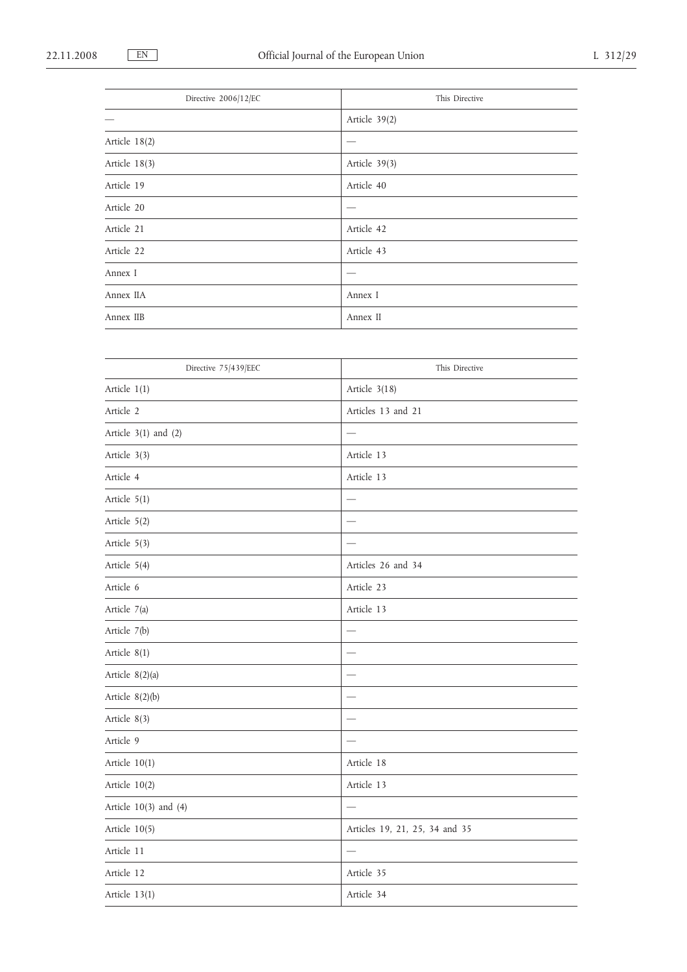| Directive 2006/12/EC | This Directive |
|----------------------|----------------|
|                      | Article 39(2)  |
| Article 18(2)        | __             |
| Article 18(3)        | Article 39(3)  |
| Article 19           | Article 40     |
| Article 20           |                |
| Article 21           | Article 42     |
| Article 22           | Article 43     |
| Annex I              |                |
| Annex IIA            | Annex I        |
| Annex IIB            | Annex II       |

| Directive 75/439/EEC      | This Directive                 |
|---------------------------|--------------------------------|
| Article 1(1)              | Article 3(18)                  |
| Article 2                 | Articles 13 and 21             |
| Article $3(1)$ and $(2)$  |                                |
| Article 3(3)              | Article 13                     |
| Article 4                 | Article 13                     |
| Article $5(1)$            |                                |
| Article 5(2)              |                                |
| Article 5(3)              |                                |
| Article 5(4)              | Articles 26 and 34             |
| Article 6                 | Article 23                     |
| Article 7(a)              | Article 13                     |
| Article 7(b)              |                                |
| Article $8(1)$            |                                |
| Article 8(2)(a)           |                                |
| Article $8(2)(b)$         |                                |
| Article 8(3)              |                                |
| Article 9                 |                                |
| Article 10(1)             | Article 18                     |
| Article $10(2)$           | Article 13                     |
| Article $10(3)$ and $(4)$ |                                |
| Article 10(5)             | Articles 19, 21, 25, 34 and 35 |
| Article 11                |                                |
| Article 12                | Article 35                     |
| Article $13(1)$           | Article 34                     |